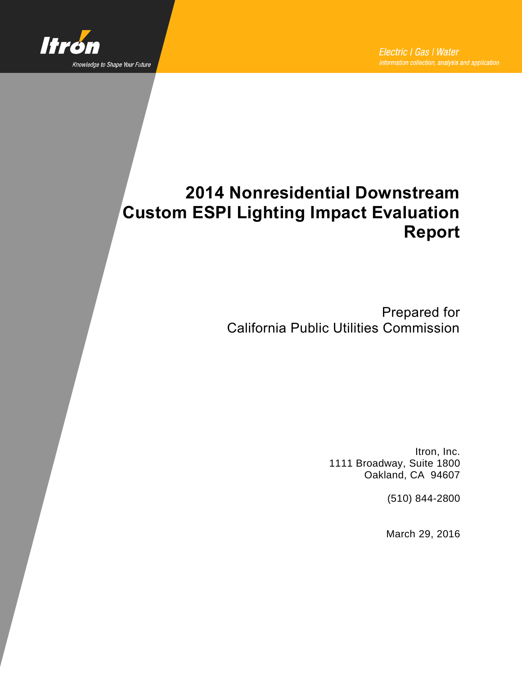

# **2014 Nonresidential Downstream Custom ESPI Lighting Impact Evaluation Report**

Prepared for California Public Utilities Commission

> Itron, Inc. 1111 Broadway, Suite 1800 Oakland, CA 94607

> > (510) 844-2800

March 29, 2016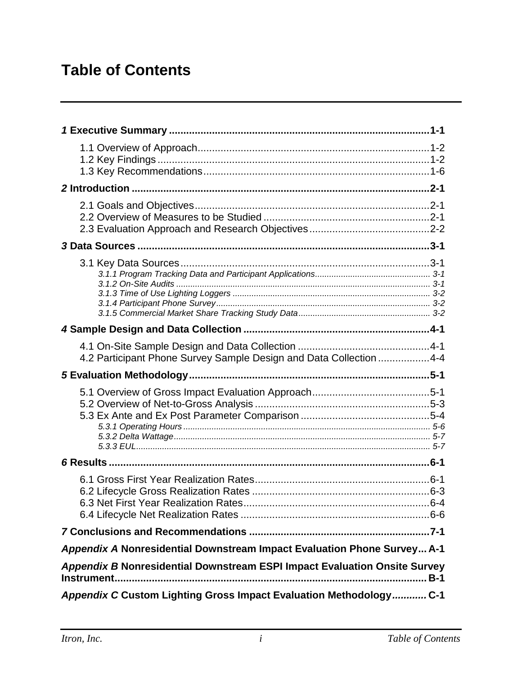# **Table of Contents**

| 4.2 Participant Phone Survey Sample Design and Data Collection 4-4        |
|---------------------------------------------------------------------------|
|                                                                           |
|                                                                           |
|                                                                           |
|                                                                           |
|                                                                           |
| Appendix A Nonresidential Downstream Impact Evaluation Phone Survey A-1   |
| Appendix B Nonresidential Downstream ESPI Impact Evaluation Onsite Survey |
| Appendix C Custom Lighting Gross Impact Evaluation Methodology C-1        |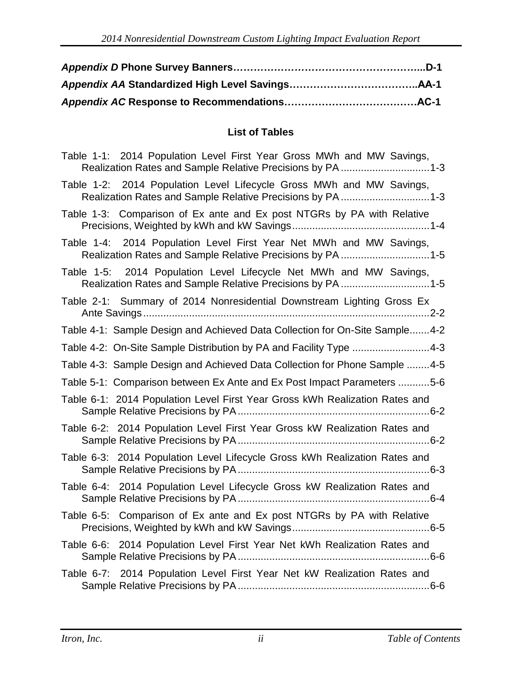#### **List of Tables**

| Table 1-1: 2014 Population Level First Year Gross MWh and MW Savings,                                                             |
|-----------------------------------------------------------------------------------------------------------------------------------|
| Table 1-2: 2014 Population Level Lifecycle Gross MWh and MW Savings,<br>Realization Rates and Sample Relative Precisions by PA1-3 |
| Table 1-3: Comparison of Ex ante and Ex post NTGRs by PA with Relative                                                            |
| Table 1-4: 2014 Population Level First Year Net MWh and MW Savings,<br>Realization Rates and Sample Relative Precisions by PA 1-5 |
| Table 1-5: 2014 Population Level Lifecycle Net MWh and MW Savings,<br>Realization Rates and Sample Relative Precisions by PA 1-5  |
| Table 2-1: Summary of 2014 Nonresidential Downstream Lighting Gross Ex                                                            |
| Table 4-1: Sample Design and Achieved Data Collection for On-Site Sample4-2                                                       |
| Table 4-2: On-Site Sample Distribution by PA and Facility Type 4-3                                                                |
| Table 4-3: Sample Design and Achieved Data Collection for Phone Sample 4-5                                                        |
| Table 5-1: Comparison between Ex Ante and Ex Post Impact Parameters 5-6                                                           |
| Table 6-1: 2014 Population Level First Year Gross kWh Realization Rates and                                                       |
| Table 6-2: 2014 Population Level First Year Gross kW Realization Rates and                                                        |
| Table 6-3: 2014 Population Level Lifecycle Gross kWh Realization Rates and                                                        |
| Table 6-4: 2014 Population Level Lifecycle Gross kW Realization Rates and                                                         |
| Table 6-5: Comparison of Ex ante and Ex post NTGRs by PA with Relative                                                            |
| Table 6-6: 2014 Population Level First Year Net kWh Realization Rates and                                                         |
| Table 6-7: 2014 Population Level First Year Net kW Realization Rates and                                                          |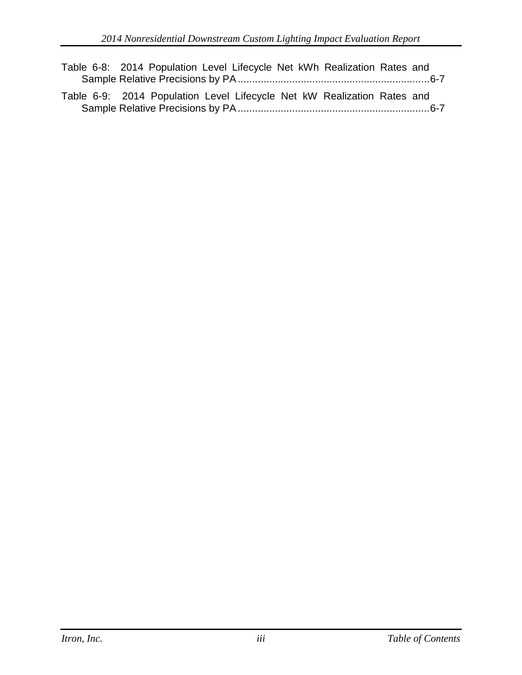Table 6-8: 2014 Population Level Lifecycle Net kWh Realization Rates and Sample Relative Precisions by PA...................................................................6-7 Table 6-9: 2014 Population Level Lifecycle Net kW Realization Rates and Sample Relative Precisions by PA...................................................................6-7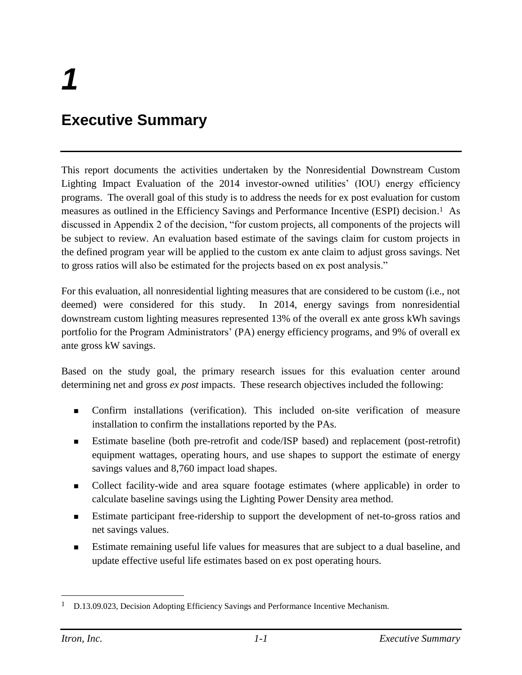# **Executive Summary**

This report documents the activities undertaken by the Nonresidential Downstream Custom Lighting Impact Evaluation of the 2014 investor-owned utilities' (IOU) energy efficiency programs. The overall goal of this study is to address the needs for ex post evaluation for custom measures as outlined in the Efficiency Savings and Performance Incentive (ESPI) decision. <sup>1</sup> As discussed in Appendix 2 of the decision, "for custom projects, all components of the projects will be subject to review. An evaluation based estimate of the savings claim for custom projects in the defined program year will be applied to the custom ex ante claim to adjust gross savings. Net to gross ratios will also be estimated for the projects based on ex post analysis."

For this evaluation, all nonresidential lighting measures that are considered to be custom (i.e., not deemed) were considered for this study. In 2014, energy savings from nonresidential downstream custom lighting measures represented 13% of the overall ex ante gross kWh savings portfolio for the Program Administrators' (PA) energy efficiency programs, and 9% of overall ex ante gross kW savings.

Based on the study goal, the primary research issues for this evaluation center around determining net and gross *ex post* impacts. These research objectives included the following:

- Confirm installations (verification). This included on-site verification of measure installation to confirm the installations reported by the PAs.
- Estimate baseline (both pre-retrofit and code/ISP based) and replacement (post-retrofit) equipment wattages, operating hours, and use shapes to support the estimate of energy savings values and 8,760 impact load shapes.
- Collect facility-wide and area square footage estimates (where applicable) in order to calculate baseline savings using the Lighting Power Density area method.
- **Estimate participant free-ridership to support the development of net-to-gross ratios and** net savings values.
- Estimate remaining useful life values for measures that are subject to a dual baseline, and update effective useful life estimates based on ex post operating hours.

 $\overline{a}$ 

<sup>&</sup>lt;sup>1</sup> D.13.09.023, Decision Adopting Efficiency Savings and Performance Incentive Mechanism.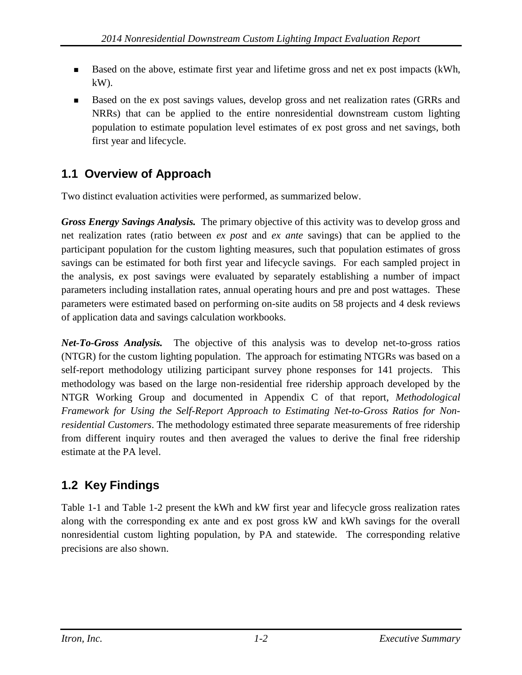- Based on the above, estimate first year and lifetime gross and net ex post impacts (kWh, kW).
- Based on the ex post savings values, develop gross and net realization rates (GRRs and NRRs) that can be applied to the entire nonresidential downstream custom lighting population to estimate population level estimates of ex post gross and net savings, both first year and lifecycle.

## **1.1 Overview of Approach**

Two distinct evaluation activities were performed, as summarized below.

*Gross Energy Savings Analysis.* The primary objective of this activity was to develop gross and net realization rates (ratio between *ex post* and *ex ante* savings) that can be applied to the participant population for the custom lighting measures, such that population estimates of gross savings can be estimated for both first year and lifecycle savings. For each sampled project in the analysis, ex post savings were evaluated by separately establishing a number of impact parameters including installation rates, annual operating hours and pre and post wattages. These parameters were estimated based on performing on-site audits on 58 projects and 4 desk reviews of application data and savings calculation workbooks.

*Net-To-Gross Analysis.* The objective of this analysis was to develop net-to-gross ratios (NTGR) for the custom lighting population. The approach for estimating NTGRs was based on a self-report methodology utilizing participant survey phone responses for 141 projects. This methodology was based on the large non-residential free ridership approach developed by the NTGR Working Group and documented in Appendix C of that report, *Methodological Framework for Using the Self-Report Approach to Estimating Net-to-Gross Ratios for Nonresidential Customers*. The methodology estimated three separate measurements of free ridership from different inquiry routes and then averaged the values to derive the final free ridership estimate at the PA level.

## **1.2 Key Findings**

[Table 1-1](#page-6-0) and [Table 1-2](#page-6-1) present the kWh and kW first year and lifecycle gross realization rates along with the corresponding ex ante and ex post gross kW and kWh savings for the overall nonresidential custom lighting population, by PA and statewide. The corresponding relative precisions are also shown.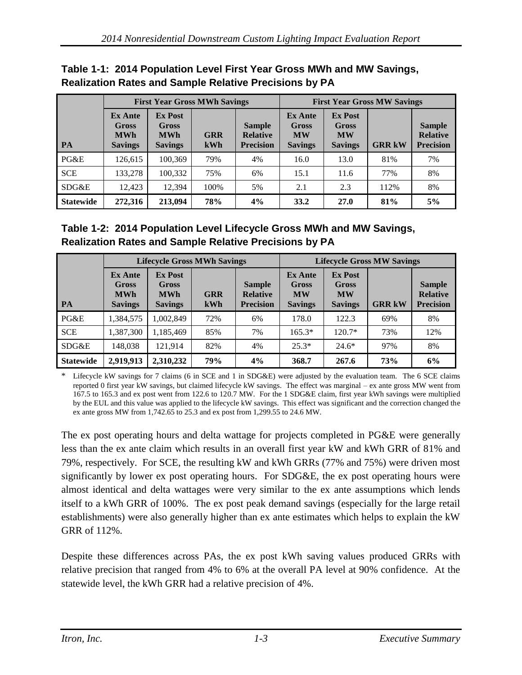|                  | Realization Rates and Sample Relative Precisions by PA         |                                                                |                   |                                                      |                                                               |                                                        |                                    |                                                      |
|------------------|----------------------------------------------------------------|----------------------------------------------------------------|-------------------|------------------------------------------------------|---------------------------------------------------------------|--------------------------------------------------------|------------------------------------|------------------------------------------------------|
|                  |                                                                | <b>First Year Gross MWh Savings</b>                            |                   |                                                      |                                                               |                                                        | <b>First Year Gross MW Savings</b> |                                                      |
| <b>PA</b>        | <b>Ex Ante</b><br><b>Gross</b><br><b>MWh</b><br><b>Savings</b> | <b>Ex Post</b><br><b>Gross</b><br><b>MWh</b><br><b>Savings</b> | <b>GRR</b><br>kWh | <b>Sample</b><br><b>Relative</b><br><b>Precision</b> | <b>Ex Ante</b><br><b>Gross</b><br><b>MW</b><br><b>Savings</b> | <b>Ex Post</b><br>Gross<br><b>MW</b><br><b>Savings</b> | <b>GRR kW</b>                      | <b>Sample</b><br><b>Relative</b><br><b>Precision</b> |
| PG&E             | 126,615                                                        | 100,369                                                        | 79%               | 4%                                                   | 16.0                                                          | 13.0                                                   | 81%                                | 7%                                                   |
| <b>SCE</b>       | 133,278                                                        | 100.332                                                        | 75%               | 6%                                                   | 15.1                                                          | 11.6                                                   | 77%                                | 8%                                                   |
| SDG&E            | 12.423                                                         | 12,394                                                         | 100%              | 5%                                                   | 2.1                                                           | 2.3                                                    | 112%                               | 8%                                                   |
| <b>Statewide</b> | 272,316                                                        | 213,094                                                        | 78%               | 4%                                                   | 33.2                                                          | 27.0                                                   | 81%                                | 5%                                                   |

### <span id="page-6-0"></span>**Table 1-1: 2014 Population Level First Year Gross MWh and MW Savings, Realization Rates and Sample Relative Precisions by PA**

## <span id="page-6-1"></span>**Table 1-2: 2014 Population Level Lifecycle Gross MWh and MW Savings, Realization Rates and Sample Relative Precisions by PA**

|                  |                                                                | <b>Lifecycle Gross MWh Savings</b>                             |                   |                                                      |                                                               |                                                               | <b>Lifecycle Gross MW Savings</b> |                                                      |
|------------------|----------------------------------------------------------------|----------------------------------------------------------------|-------------------|------------------------------------------------------|---------------------------------------------------------------|---------------------------------------------------------------|-----------------------------------|------------------------------------------------------|
| <b>PA</b>        | <b>Ex Ante</b><br><b>Gross</b><br><b>MWh</b><br><b>Savings</b> | <b>Ex Post</b><br><b>Gross</b><br><b>MWh</b><br><b>Savings</b> | <b>GRR</b><br>kWh | <b>Sample</b><br><b>Relative</b><br><b>Precision</b> | <b>Ex Ante</b><br><b>Gross</b><br><b>MW</b><br><b>Savings</b> | <b>Ex Post</b><br><b>Gross</b><br><b>MW</b><br><b>Savings</b> | <b>GRR kW</b>                     | <b>Sample</b><br><b>Relative</b><br><b>Precision</b> |
| PG&E             | 1,384,575                                                      | 1,002,849                                                      | 72%               | 6%                                                   | 178.0                                                         | 122.3                                                         | 69%                               | 8%                                                   |
| <b>SCE</b>       | 1,387,300                                                      | 1.185.469                                                      | 85%               | 7%                                                   | $165.3*$                                                      | $120.7*$                                                      | 73%                               | 12%                                                  |
| SDG&E            | 148.038                                                        | 121.914                                                        | 82%               | 4%                                                   | $25.3*$                                                       | $24.6*$                                                       | 97%                               | 8%                                                   |
| <b>Statewide</b> | 2,919,913                                                      | 2,310,232                                                      | 79%               | 4%                                                   | 368.7                                                         | 267.6                                                         | 73%                               | 6%                                                   |

Lifecycle kW savings for 7 claims (6 in SCE and 1 in SDG&E) were adjusted by the evaluation team. The 6 SCE claims reported 0 first year kW savings, but claimed lifecycle kW savings. The effect was marginal – ex ante gross MW went from 167.5 to 165.3 and ex post went from 122.6 to 120.7 MW. For the 1 SDG&E claim, first year kWh savings were multiplied by the EUL and this value was applied to the lifecycle kW savings. This effect was significant and the correction changed the ex ante gross MW from 1,742.65 to 25.3 and ex post from 1,299.55 to 24.6 MW.

The ex post operating hours and delta wattage for projects completed in PG&E were generally less than the ex ante claim which results in an overall first year kW and kWh GRR of 81% and 79%, respectively. For SCE, the resulting kW and kWh GRRs (77% and 75%) were driven most significantly by lower ex post operating hours. For SDG&E, the ex post operating hours were almost identical and delta wattages were very similar to the ex ante assumptions which lends itself to a kWh GRR of 100%. The ex post peak demand savings (especially for the large retail establishments) were also generally higher than ex ante estimates which helps to explain the kW GRR of 112%.

Despite these differences across PAs, the ex post kWh saving values produced GRRs with relative precision that ranged from 4% to 6% at the overall PA level at 90% confidence. At the statewide level, the kWh GRR had a relative precision of 4%.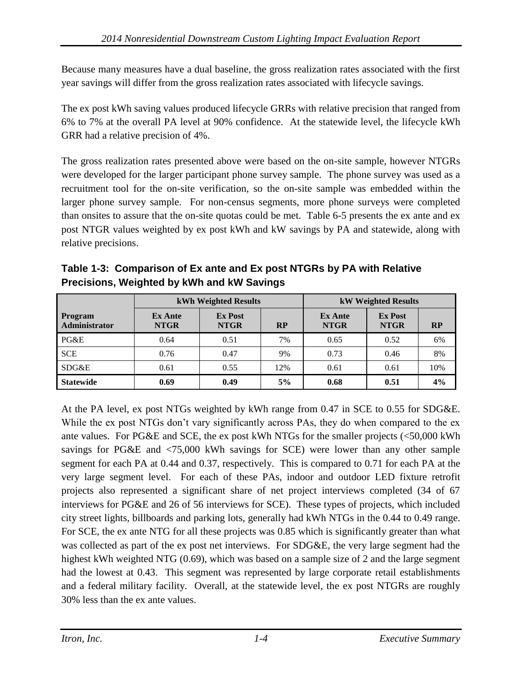Because many measures have a dual baseline, the gross realization rates associated with the first year savings will differ from the gross realization rates associated with lifecycle savings.

The ex post kWh saving values produced lifecycle GRRs with relative precision that ranged from 6% to 7% at the overall PA level at 90% confidence. At the statewide level, the lifecycle kWh GRR had a relative precision of 4%.

The gross realization rates presented above were based on the on-site sample, however NTGRs were developed for the larger participant phone survey sample. The phone survey was used as a recruitment tool for the on-site verification, so the on-site sample was embedded within the larger phone survey sample. For non-census segments, more phone surveys were completed than onsites to assure that the on-site quotas could be met. [Table 6-5](#page-33-0) presents the ex ante and ex post NTGR values weighted by ex post kWh and kW savings by PA and statewide, along with relative precisions.

|                                 |                               | kWh Weighted Results          |           |                               | <b>kW Weighted Results</b>    |     |
|---------------------------------|-------------------------------|-------------------------------|-----------|-------------------------------|-------------------------------|-----|
| Program<br><b>Administrator</b> | <b>Ex Ante</b><br><b>NTGR</b> | <b>Ex Post</b><br><b>NTGR</b> | <b>RP</b> | <b>Ex Ante</b><br><b>NTGR</b> | <b>Ex Post</b><br><b>NTGR</b> | RP  |
| PG&E                            | 0.64                          | 0.51                          | 7%        | 0.65                          | 0.52                          | 6%  |
| <b>SCE</b>                      | 0.76                          | 0.47                          | 9%        | 0.73                          | 0.46                          | 8%  |
| SDG&E                           | 0.61                          | 0.55                          | 12%       | 0.61                          | 0.61                          | 10% |
| <b>Statewide</b>                | 0.69                          | 0.49                          | 5%        | 0.68                          | 0.51                          | 4%  |

**Table 1-3: Comparison of Ex ante and Ex post NTGRs by PA with Relative Precisions, Weighted by kWh and kW Savings** 

At the PA level, ex post NTGs weighted by kWh range from 0.47 in SCE to 0.55 for SDG&E. While the ex post NTGs don't vary significantly across PAs, they do when compared to the ex ante values. For PG&E and SCE, the ex post kWh NTGs for the smaller projects (<50,000 kWh savings for PG&E and <75,000 kWh savings for SCE) were lower than any other sample segment for each PA at 0.44 and 0.37, respectively. This is compared to 0.71 for each PA at the very large segment level. For each of these PAs, indoor and outdoor LED fixture retrofit projects also represented a significant share of net project interviews completed (34 of 67 interviews for PG&E and 26 of 56 interviews for SCE). These types of projects, which included city street lights, billboards and parking lots, generally had kWh NTGs in the 0.44 to 0.49 range. For SCE, the ex ante NTG for all these projects was 0.85 which is significantly greater than what was collected as part of the ex post net interviews. For SDG&E, the very large segment had the highest kWh weighted NTG (0.69), which was based on a sample size of 2 and the large segment had the lowest at 0.43. This segment was represented by large corporate retail establishments and a federal military facility. Overall, at the statewide level, the ex post NTGRs are roughly 30% less than the ex ante values.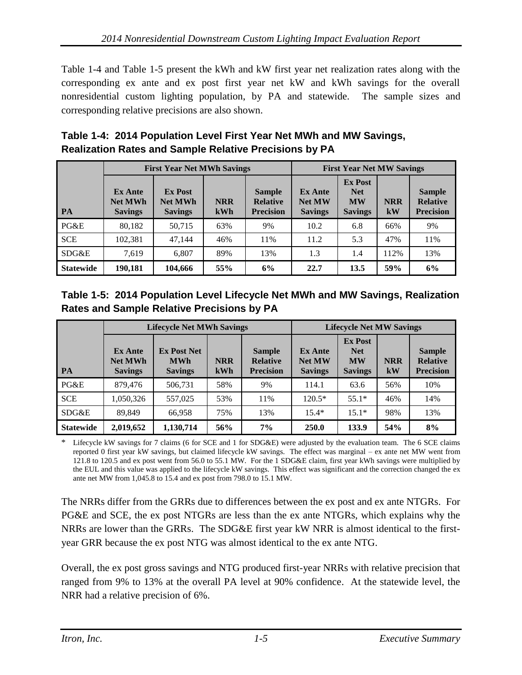[Table 1-4](#page-8-0) and [Table 1-5](#page-8-1) present the kWh and kW first year net realization rates along with the corresponding ex ante and ex post first year net kW and kWh savings for the overall nonresidential custom lighting population, by PA and statewide. The sample sizes and corresponding relative precisions are also shown.

|                  |                                                    | <b>First Year Net MWh Savings</b>                  |                   |                                                      |                                                   | <b>First Year Net MW Savings</b>                            |                  |                                                      |
|------------------|----------------------------------------------------|----------------------------------------------------|-------------------|------------------------------------------------------|---------------------------------------------------|-------------------------------------------------------------|------------------|------------------------------------------------------|
| <b>PA</b>        | <b>Ex Ante</b><br><b>Net MWh</b><br><b>Savings</b> | <b>Ex Post</b><br><b>Net MWh</b><br><b>Savings</b> | <b>NRR</b><br>kWh | <b>Sample</b><br><b>Relative</b><br><b>Precision</b> | <b>Ex Ante</b><br><b>Net MW</b><br><b>Savings</b> | <b>Ex Post</b><br><b>Net</b><br><b>MW</b><br><b>Savings</b> | <b>NRR</b><br>kW | <b>Sample</b><br><b>Relative</b><br><b>Precision</b> |
| PG&E             | 80,182                                             | 50,715                                             | 63%               | 9%                                                   | 10.2                                              | 6.8                                                         | 66%              | 9%                                                   |
| <b>SCE</b>       | 102,381                                            | 47.144                                             | 46%               | 11%                                                  | 11.2                                              | 5.3                                                         | 47%              | 11%                                                  |
| SDG&E            | 7.619                                              | 6,807                                              | 89%               | 13%                                                  | 1.3                                               | 1.4                                                         | 112%             | 13%                                                  |
| <b>Statewide</b> | 190,181                                            | 104,666                                            | 55%               | 6%                                                   | 22.7                                              | 13.5                                                        | 59%              | 6%                                                   |

### <span id="page-8-0"></span>**Table 1-4: 2014 Population Level First Year Net MWh and MW Savings, Realization Rates and Sample Relative Precisions by PA**

<span id="page-8-1"></span>

| Table 1-5: 2014 Population Level Lifecycle Net MWh and MW Savings, Realization |  |
|--------------------------------------------------------------------------------|--|
| <b>Rates and Sample Relative Precisions by PA</b>                              |  |

|                  |                                                    | <b>Lifecycle Net MWh Savings</b>                   |                   |                                                      |                                                   | <b>Lifecycle Net MW Savings</b>                             |                  |                                                      |
|------------------|----------------------------------------------------|----------------------------------------------------|-------------------|------------------------------------------------------|---------------------------------------------------|-------------------------------------------------------------|------------------|------------------------------------------------------|
| <b>PA</b>        | <b>Ex Ante</b><br><b>Net MWh</b><br><b>Savings</b> | <b>Ex Post Net</b><br><b>MWh</b><br><b>Savings</b> | <b>NRR</b><br>kWh | <b>Sample</b><br><b>Relative</b><br><b>Precision</b> | <b>Ex Ante</b><br><b>Net MW</b><br><b>Savings</b> | <b>Ex Post</b><br><b>Net</b><br><b>MW</b><br><b>Savings</b> | <b>NRR</b><br>kW | <b>Sample</b><br><b>Relative</b><br><b>Precision</b> |
| PG&E             | 879,476                                            | 506,731                                            | 58%               | 9%                                                   | 114.1                                             | 63.6                                                        | 56%              | 10%                                                  |
| <b>SCE</b>       | 1,050,326                                          | 557,025                                            | 53%               | 11%                                                  | $120.5*$                                          | $55.1*$                                                     | 46%              | 14%                                                  |
| SDG&E            | 89.849                                             | 66,958                                             | 75%               | 13%                                                  | $15.4*$                                           | $15.1*$                                                     | 98%              | 13%                                                  |
| <b>Statewide</b> | 2,019,652                                          | 1,130,714                                          | 56%               | 7%                                                   | 250.0                                             | 133.9                                                       | 54%              | 8%                                                   |

\* Lifecycle kW savings for 7 claims (6 for SCE and 1 for SDG&E) were adjusted by the evaluation team. The 6 SCE claims reported 0 first year kW savings, but claimed lifecycle kW savings. The effect was marginal – ex ante net MW went from 121.8 to 120.5 and ex post went from 56.0 to 55.1 MW. For the 1 SDG&E claim, first year kWh savings were multiplied by the EUL and this value was applied to the lifecycle kW savings. This effect was significant and the correction changed the ex ante net MW from 1,045.8 to 15.4 and ex post from 798.0 to 15.1 MW.

The NRRs differ from the GRRs due to differences between the ex post and ex ante NTGRs. For PG&E and SCE, the ex post NTGRs are less than the ex ante NTGRs, which explains why the NRRs are lower than the GRRs. The SDG&E first year kW NRR is almost identical to the firstyear GRR because the ex post NTG was almost identical to the ex ante NTG.

Overall, the ex post gross savings and NTG produced first-year NRRs with relative precision that ranged from 9% to 13% at the overall PA level at 90% confidence. At the statewide level, the NRR had a relative precision of 6%.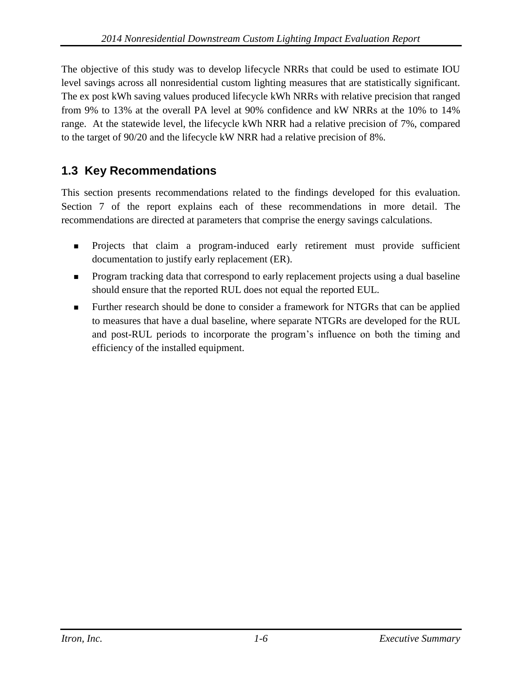The objective of this study was to develop lifecycle NRRs that could be used to estimate IOU level savings across all nonresidential custom lighting measures that are statistically significant. The ex post kWh saving values produced lifecycle kWh NRRs with relative precision that ranged from 9% to 13% at the overall PA level at 90% confidence and kW NRRs at the 10% to 14% range. At the statewide level, the lifecycle kWh NRR had a relative precision of 7%, compared to the target of 90/20 and the lifecycle kW NRR had a relative precision of 8%.

## **1.3 Key Recommendations**

This section presents recommendations related to the findings developed for this evaluation. Section 7 of the report explains each of these recommendations in more detail. The recommendations are directed at parameters that comprise the energy savings calculations.

- **Projects that claim a program-induced early retirement must provide sufficient** documentation to justify early replacement (ER).
- **Program tracking data that correspond to early replacement projects using a dual baseline** should ensure that the reported RUL does not equal the reported EUL.
- Further research should be done to consider a framework for NTGRs that can be applied to measures that have a dual baseline, where separate NTGRs are developed for the RUL and post-RUL periods to incorporate the program's influence on both the timing and efficiency of the installed equipment.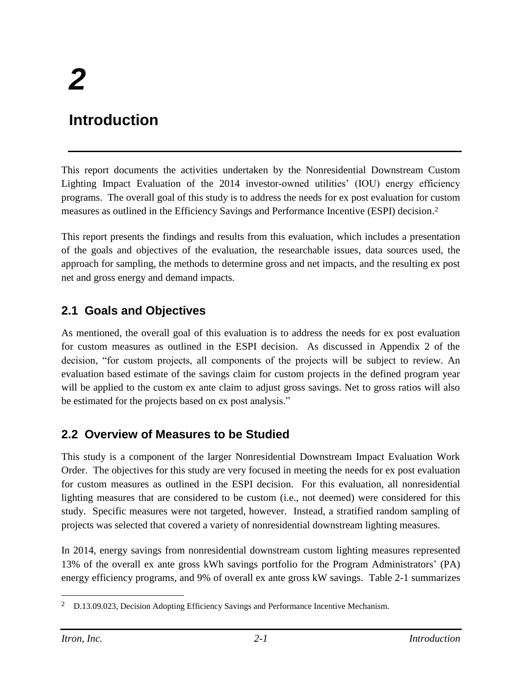# **Introduction**

This report documents the activities undertaken by the Nonresidential Downstream Custom Lighting Impact Evaluation of the 2014 investor-owned utilities' (IOU) energy efficiency programs. The overall goal of this study is to address the needs for ex post evaluation for custom measures as outlined in the Efficiency Savings and Performance Incentive (ESPI) decision. 2

This report presents the findings and results from this evaluation, which includes a presentation of the goals and objectives of the evaluation, the researchable issues, data sources used, the approach for sampling, the methods to determine gross and net impacts, and the resulting ex post net and gross energy and demand impacts.

## **2.1 Goals and Objectives**

As mentioned, the overall goal of this evaluation is to address the needs for ex post evaluation for custom measures as outlined in the ESPI decision. As discussed in Appendix 2 of the decision, "for custom projects, all components of the projects will be subject to review. An evaluation based estimate of the savings claim for custom projects in the defined program year will be applied to the custom ex ante claim to adjust gross savings. Net to gross ratios will also be estimated for the projects based on ex post analysis."

## **2.2 Overview of Measures to be Studied**

This study is a component of the larger Nonresidential Downstream Impact Evaluation Work Order. The objectives for this study are very focused in meeting the needs for ex post evaluation for custom measures as outlined in the ESPI decision. For this evaluation, all nonresidential lighting measures that are considered to be custom (i.e., not deemed) were considered for this study. Specific measures were not targeted, however. Instead, a stratified random sampling of projects was selected that covered a variety of nonresidential downstream lighting measures.

In 2014, energy savings from nonresidential downstream custom lighting measures represented 13% of the overall ex ante gross kWh savings portfolio for the Program Administrators' (PA) energy efficiency programs, and 9% of overall ex ante gross kW savings. Table 2-1 summarizes

 $\overline{a}$ 

<sup>&</sup>lt;sup>2</sup> D.13.09.023, Decision Adopting Efficiency Savings and Performance Incentive Mechanism.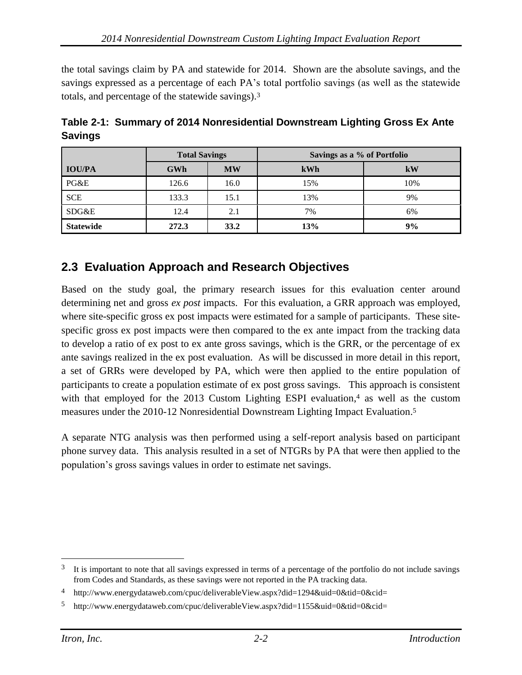the total savings claim by PA and statewide for 2014. Shown are the absolute savings, and the savings expressed as a percentage of each PA's total portfolio savings (as well as the statewide totals, and percentage of the statewide savings).<sup>3</sup>

|                  | <b>Total Savings</b> |           | Savings as a % of Portfolio |     |
|------------------|----------------------|-----------|-----------------------------|-----|
| <b>IOU/PA</b>    | <b>GWh</b>           | <b>MW</b> | kWh                         | kW  |
| PG&E             | 126.6                | 16.0      | 15%                         | 10% |
| <b>SCE</b>       | 133.3                | 15.1      | 13%                         | 9%  |
| SDG&E            | 12.4                 | 2.1       | 7%                          | 6%  |
| <b>Statewide</b> | 272.3                | 33.2      | 13%                         | 9%  |

**Table 2-1: Summary of 2014 Nonresidential Downstream Lighting Gross Ex Ante Savings**

## **2.3 Evaluation Approach and Research Objectives**

Based on the study goal, the primary research issues for this evaluation center around determining net and gross *ex post* impacts. For this evaluation, a GRR approach was employed, where site-specific gross ex post impacts were estimated for a sample of participants. These sitespecific gross ex post impacts were then compared to the ex ante impact from the tracking data to develop a ratio of ex post to ex ante gross savings, which is the GRR, or the percentage of ex ante savings realized in the ex post evaluation. As will be discussed in more detail in this report, a set of GRRs were developed by PA, which were then applied to the entire population of participants to create a population estimate of ex post gross savings. This approach is consistent with that employed for the 2013 Custom Lighting ESPI evaluation,<sup>4</sup> as well as the custom measures under the 2010-12 Nonresidential Downstream Lighting Impact Evaluation. 5

A separate NTG analysis was then performed using a self-report analysis based on participant phone survey data. This analysis resulted in a set of NTGRs by PA that were then applied to the population's gross savings values in order to estimate net savings.

 $\overline{a}$ 

<sup>&</sup>lt;sup>3</sup> It is important to note that all savings expressed in terms of a percentage of the portfolio do not include savings from Codes and Standards, as these savings were not reported in the PA tracking data.

<sup>4</sup> http://www.energydataweb.com/cpuc/deliverableView.aspx?did=1294&uid=0&tid=0&cid=

<sup>5</sup> http://www.energydataweb.com/cpuc/deliverableView.aspx?did=1155&uid=0&tid=0&cid=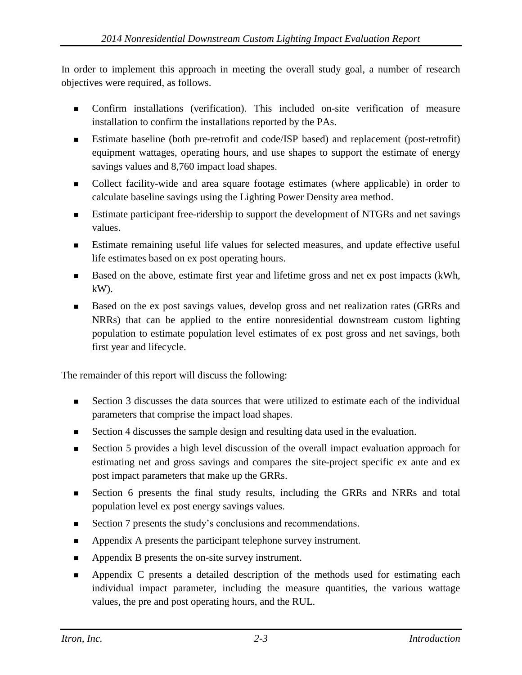In order to implement this approach in meeting the overall study goal, a number of research objectives were required, as follows.

- Confirm installations (verification). This included on-site verification of measure installation to confirm the installations reported by the PAs.
- Estimate baseline (both pre-retrofit and code/ISP based) and replacement (post-retrofit) equipment wattages, operating hours, and use shapes to support the estimate of energy savings values and 8,760 impact load shapes.
- Collect facility-wide and area square footage estimates (where applicable) in order to calculate baseline savings using the Lighting Power Density area method.
- **Extimate participant free-ridership to support the development of NTGRs and net savings** values.
- Estimate remaining useful life values for selected measures, and update effective useful life estimates based on ex post operating hours.
- Based on the above, estimate first year and lifetime gross and net ex post impacts (kWh,  $kW$ ).
- Based on the ex post savings values, develop gross and net realization rates (GRRs and NRRs) that can be applied to the entire nonresidential downstream custom lighting population to estimate population level estimates of ex post gross and net savings, both first year and lifecycle.

The remainder of this report will discuss the following:

- Section 3 discusses the data sources that were utilized to estimate each of the individual parameters that comprise the impact load shapes.
- Section 4 discusses the sample design and resulting data used in the evaluation.
- Section 5 provides a high level discussion of the overall impact evaluation approach for estimating net and gross savings and compares the site-project specific ex ante and ex post impact parameters that make up the GRRs.
- Section 6 presents the final study results, including the GRRs and NRRs and total population level ex post energy savings values.
- Section 7 presents the study's conclusions and recommendations.
- Appendix A presents the participant telephone survey instrument.
- **Appendix B presents the on-site survey instrument.**
- Appendix C presents a detailed description of the methods used for estimating each individual impact parameter, including the measure quantities, the various wattage values, the pre and post operating hours, and the RUL.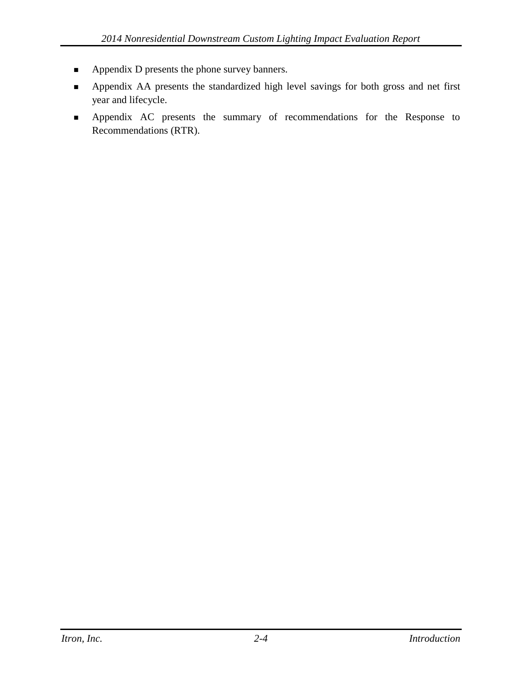- **Appendix D presents the phone survey banners.**
- Appendix AA presents the standardized high level savings for both gross and net first year and lifecycle.
- Appendix AC presents the summary of recommendations for the Response to Recommendations (RTR).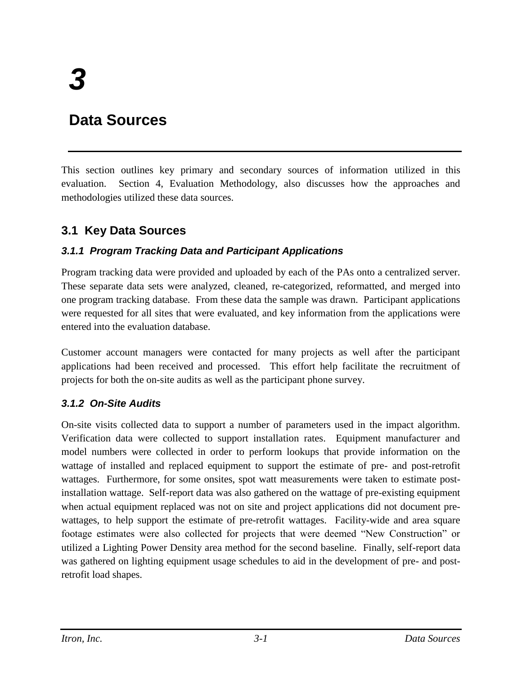## **Data Sources**

This section outlines key primary and secondary sources of information utilized in this evaluation. Section 4, Evaluation Methodology, also discusses how the approaches and methodologies utilized these data sources.

## **3.1 Key Data Sources**

#### *3.1.1 Program Tracking Data and Participant Applications*

Program tracking data were provided and uploaded by each of the PAs onto a centralized server. These separate data sets were analyzed, cleaned, re-categorized, reformatted, and merged into one program tracking database. From these data the sample was drawn. Participant applications were requested for all sites that were evaluated, and key information from the applications were entered into the evaluation database.

Customer account managers were contacted for many projects as well after the participant applications had been received and processed. This effort help facilitate the recruitment of projects for both the on-site audits as well as the participant phone survey.

#### *3.1.2 On-Site Audits*

On-site visits collected data to support a number of parameters used in the impact algorithm. Verification data were collected to support installation rates. Equipment manufacturer and model numbers were collected in order to perform lookups that provide information on the wattage of installed and replaced equipment to support the estimate of pre- and post-retrofit wattages. Furthermore, for some onsites, spot watt measurements were taken to estimate postinstallation wattage. Self-report data was also gathered on the wattage of pre-existing equipment when actual equipment replaced was not on site and project applications did not document prewattages, to help support the estimate of pre-retrofit wattages. Facility-wide and area square footage estimates were also collected for projects that were deemed "New Construction" or utilized a Lighting Power Density area method for the second baseline. Finally, self-report data was gathered on lighting equipment usage schedules to aid in the development of pre- and postretrofit load shapes.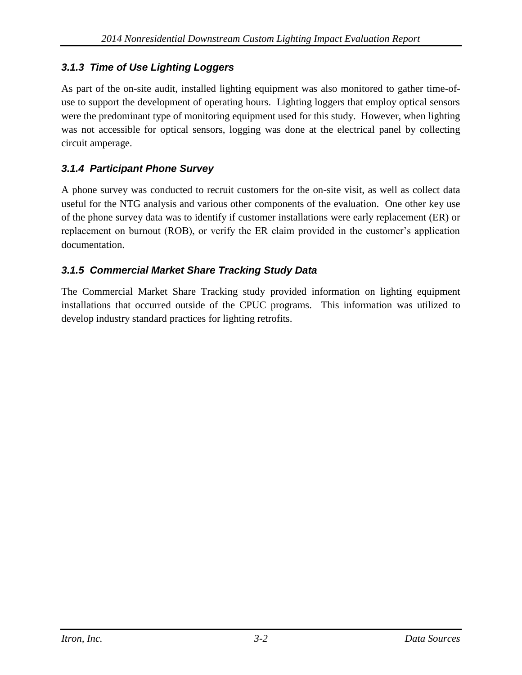## *3.1.3 Time of Use Lighting Loggers*

As part of the on-site audit, installed lighting equipment was also monitored to gather time-ofuse to support the development of operating hours. Lighting loggers that employ optical sensors were the predominant type of monitoring equipment used for this study. However, when lighting was not accessible for optical sensors, logging was done at the electrical panel by collecting circuit amperage.

## *3.1.4 Participant Phone Survey*

A phone survey was conducted to recruit customers for the on-site visit, as well as collect data useful for the NTG analysis and various other components of the evaluation. One other key use of the phone survey data was to identify if customer installations were early replacement (ER) or replacement on burnout (ROB), or verify the ER claim provided in the customer's application documentation.

## *3.1.5 Commercial Market Share Tracking Study Data*

The Commercial Market Share Tracking study provided information on lighting equipment installations that occurred outside of the CPUC programs. This information was utilized to develop industry standard practices for lighting retrofits.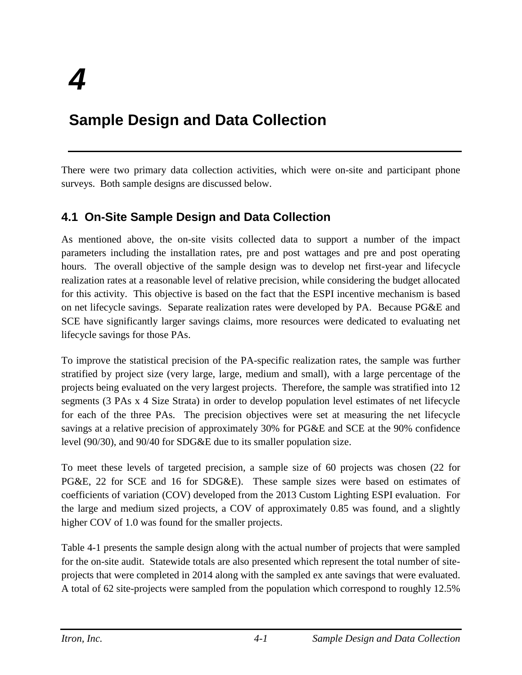# **Sample Design and Data Collection**

There were two primary data collection activities, which were on-site and participant phone surveys. Both sample designs are discussed below.

## <span id="page-16-0"></span>**4.1 On-Site Sample Design and Data Collection**

As mentioned above, the on-site visits collected data to support a number of the impact parameters including the installation rates, pre and post wattages and pre and post operating hours. The overall objective of the sample design was to develop net first-year and lifecycle realization rates at a reasonable level of relative precision, while considering the budget allocated for this activity. This objective is based on the fact that the ESPI incentive mechanism is based on net lifecycle savings. Separate realization rates were developed by PA. Because PG&E and SCE have significantly larger savings claims, more resources were dedicated to evaluating net lifecycle savings for those PAs.

To improve the statistical precision of the PA-specific realization rates, the sample was further stratified by project size (very large, large, medium and small), with a large percentage of the projects being evaluated on the very largest projects. Therefore, the sample was stratified into 12 segments (3 PAs x 4 Size Strata) in order to develop population level estimates of net lifecycle for each of the three PAs. The precision objectives were set at measuring the net lifecycle savings at a relative precision of approximately 30% for PG&E and SCE at the 90% confidence level (90/30), and 90/40 for SDG&E due to its smaller population size.

To meet these levels of targeted precision, a sample size of 60 projects was chosen (22 for PG&E, 22 for SCE and 16 for SDG&E). These sample sizes were based on estimates of coefficients of variation (COV) developed from the 2013 Custom Lighting ESPI evaluation. For the large and medium sized projects, a COV of approximately 0.85 was found, and a slightly higher COV of 1.0 was found for the smaller projects.

Table 4-1 presents the sample design along with the actual number of projects that were sampled for the on-site audit. Statewide totals are also presented which represent the total number of siteprojects that were completed in 2014 along with the sampled ex ante savings that were evaluated. A total of 62 site-projects were sampled from the population which correspond to roughly 12.5%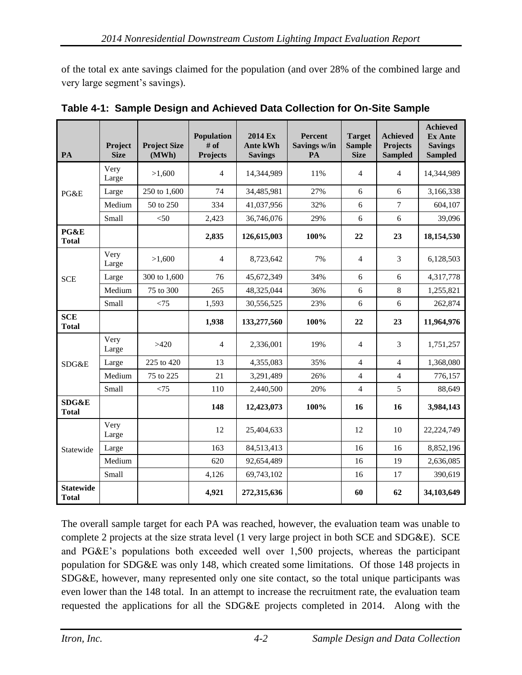of the total ex ante savings claimed for the population (and over 28% of the combined large and very large segment's savings).

| PA                               | Project<br><b>Size</b> | <b>Project Size</b><br>(MWh) | <b>Population</b><br># of<br><b>Projects</b> | 2014 Ex<br><b>Ante kWh</b><br><b>Savings</b> | <b>Percent</b><br>Savings w/in<br>PA | <b>Target</b><br><b>Sample</b><br><b>Size</b> | <b>Achieved</b><br>Projects<br><b>Sampled</b> | <b>Achieved</b><br><b>Ex Ante</b><br><b>Savings</b><br><b>Sampled</b> |
|----------------------------------|------------------------|------------------------------|----------------------------------------------|----------------------------------------------|--------------------------------------|-----------------------------------------------|-----------------------------------------------|-----------------------------------------------------------------------|
|                                  | Very<br>Large          | >1,600                       | $\overline{4}$                               | 14,344,989                                   | 11%                                  | $\overline{4}$                                | $\overline{4}$                                | 14,344,989                                                            |
| PG&E                             | Large                  | 250 to 1,600                 | 74                                           | 34,485,981                                   | 27%                                  | 6                                             | 6                                             | 3,166,338                                                             |
|                                  | Medium                 | 50 to 250                    | 334                                          | 41,037,956                                   | 32%                                  | 6                                             | $\overline{7}$                                | 604,107                                                               |
|                                  | Small                  | $< 50$                       | 2,423                                        | 36,746,076                                   | 29%                                  | 6                                             | 6                                             | 39,096                                                                |
| PG&E<br><b>Total</b>             |                        |                              | 2,835                                        | 126,615,003                                  | 100%                                 | 22                                            | 23                                            | 18,154,530                                                            |
|                                  | Very<br>Large          | >1,600                       | $\overline{4}$                               | 8,723,642                                    | 7%                                   | 4                                             | 3                                             | 6,128,503                                                             |
| <b>SCE</b>                       | Large                  | 300 to 1,600                 | 76                                           | 45,672,349                                   | 34%                                  | 6                                             | 6                                             | 4,317,778                                                             |
|                                  | Medium                 | 75 to 300                    | 265                                          | 48,325,044                                   | 36%                                  | 6                                             | 8                                             | 1,255,821                                                             |
|                                  | Small                  | < 75                         | 1,593                                        | 30,556,525                                   | 23%                                  | 6                                             | 6                                             | 262,874                                                               |
| <b>SCE</b><br><b>Total</b>       |                        |                              | 1,938                                        | 133,277,560                                  | 100%                                 | 22                                            | 23                                            | 11,964,976                                                            |
|                                  | Very<br>Large          | >420                         | $\overline{4}$                               | 2,336,001                                    | 19%                                  | $\overline{4}$                                | 3                                             | 1,751,257                                                             |
| SDG&E                            | Large                  | 225 to 420                   | 13                                           | 4,355,083                                    | 35%                                  | $\overline{4}$                                | $\overline{4}$                                | 1,368,080                                                             |
|                                  | Medium                 | 75 to 225                    | 21                                           | 3,291,489                                    | 26%                                  | 4                                             | $\overline{4}$                                | 776,157                                                               |
|                                  | Small                  | < 75                         | 110                                          | 2,440,500                                    | 20%                                  | $\overline{4}$                                | 5                                             | 88,649                                                                |
| <b>SDG&amp;E</b><br><b>Total</b> |                        |                              | 148                                          | 12,423,073                                   | 100%                                 | 16                                            | 16                                            | 3,984,143                                                             |
|                                  | Very<br>Large          |                              | 12                                           | 25,404,633                                   |                                      | 12                                            | 10                                            | 22,224,749                                                            |
| Statewide                        | Large                  |                              | 163                                          | 84,513,413                                   |                                      | 16                                            | 16                                            | 8,852,196                                                             |
|                                  | Medium                 |                              | 620                                          | 92,654,489                                   |                                      | 16                                            | 19                                            | 2,636,085                                                             |
|                                  | Small                  |                              | 4,126                                        | 69,743,102                                   |                                      | 16                                            | 17                                            | 390,619                                                               |
| <b>Statewide</b><br><b>Total</b> |                        |                              | 4,921                                        | 272,315,636                                  |                                      | 60                                            | 62                                            | 34,103,649                                                            |

| Table 4-1: Sample Design and Achieved Data Collection for On-Site Sample |
|--------------------------------------------------------------------------|
|--------------------------------------------------------------------------|

The overall sample target for each PA was reached, however, the evaluation team was unable to complete 2 projects at the size strata level (1 very large project in both SCE and SDG&E). SCE and PG&E's populations both exceeded well over 1,500 projects, whereas the participant population for SDG&E was only 148, which created some limitations. Of those 148 projects in SDG&E, however, many represented only one site contact, so the total unique participants was even lower than the 148 total. In an attempt to increase the recruitment rate, the evaluation team requested the applications for all the SDG&E projects completed in 2014. Along with the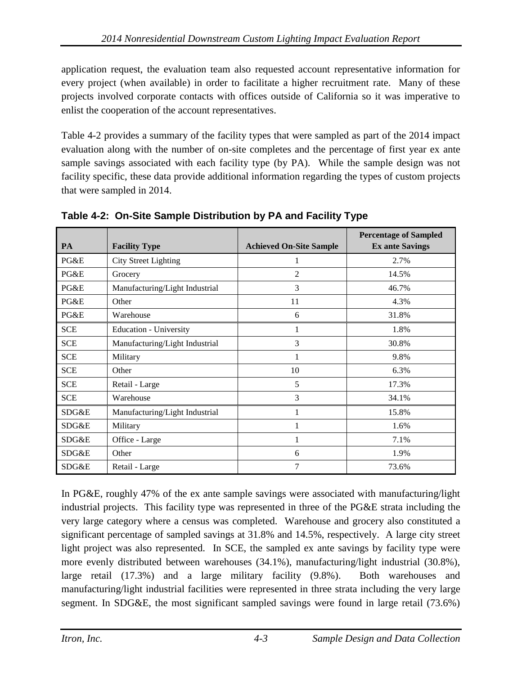application request, the evaluation team also requested account representative information for every project (when available) in order to facilitate a higher recruitment rate. Many of these projects involved corporate contacts with offices outside of California so it was imperative to enlist the cooperation of the account representatives.

Table 4-2 provides a summary of the facility types that were sampled as part of the 2014 impact evaluation along with the number of on-site completes and the percentage of first year ex ante sample savings associated with each facility type (by PA). While the sample design was not facility specific, these data provide additional information regarding the types of custom projects that were sampled in 2014.

| <b>PA</b>  | <b>Facility Type</b>           | <b>Achieved On-Site Sample</b> | <b>Percentage of Sampled</b><br><b>Ex ante Savings</b> |
|------------|--------------------------------|--------------------------------|--------------------------------------------------------|
| PG&E       | <b>City Street Lighting</b>    | 1                              | 2.7%                                                   |
| PG&E       | Grocery                        | $\overline{2}$                 | 14.5%                                                  |
| PG&E       | Manufacturing/Light Industrial | 3                              | 46.7%                                                  |
| PG&E       | Other                          | 11                             | 4.3%                                                   |
| PG&E       | Warehouse                      | 6                              | 31.8%                                                  |
| <b>SCE</b> | <b>Education - University</b>  |                                | 1.8%                                                   |
| <b>SCE</b> | Manufacturing/Light Industrial | 3                              | 30.8%                                                  |
| <b>SCE</b> | Military                       | 1                              | 9.8%                                                   |
| <b>SCE</b> | Other                          | 10                             | 6.3%                                                   |
| <b>SCE</b> | Retail - Large                 | 5                              | 17.3%                                                  |
| <b>SCE</b> | Warehouse                      | 3                              | 34.1%                                                  |
| SDG&E      | Manufacturing/Light Industrial | 1                              | 15.8%                                                  |
| SDG&E      | Military                       | 1                              | 1.6%                                                   |
| SDG&E      | Office - Large                 | 1                              | 7.1%                                                   |
| SDG&E      | Other                          | 6                              | 1.9%                                                   |
| SDG&E      | Retail - Large                 | 7                              | 73.6%                                                  |

**Table 4-2: On-Site Sample Distribution by PA and Facility Type**

In PG&E, roughly 47% of the ex ante sample savings were associated with manufacturing/light industrial projects. This facility type was represented in three of the PG&E strata including the very large category where a census was completed. Warehouse and grocery also constituted a significant percentage of sampled savings at 31.8% and 14.5%, respectively. A large city street light project was also represented. In SCE, the sampled ex ante savings by facility type were more evenly distributed between warehouses (34.1%), manufacturing/light industrial (30.8%), large retail (17.3%) and a large military facility (9.8%). Both warehouses and manufacturing/light industrial facilities were represented in three strata including the very large segment. In SDG&E, the most significant sampled savings were found in large retail (73.6%)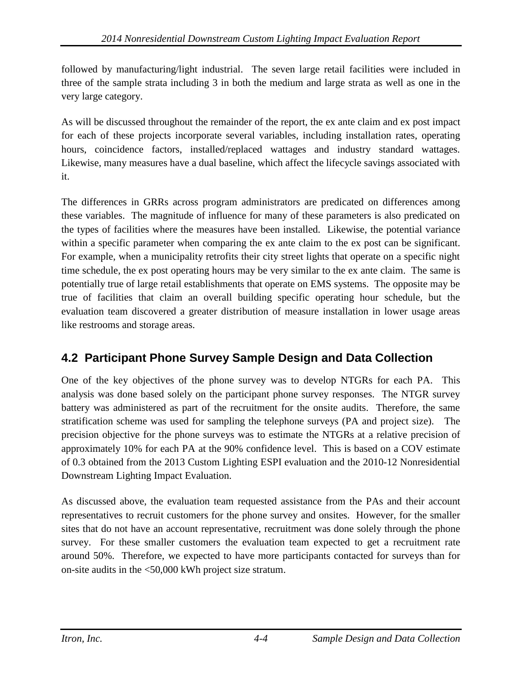followed by manufacturing/light industrial. The seven large retail facilities were included in three of the sample strata including 3 in both the medium and large strata as well as one in the very large category.

As will be discussed throughout the remainder of the report, the ex ante claim and ex post impact for each of these projects incorporate several variables, including installation rates, operating hours, coincidence factors, installed/replaced wattages and industry standard wattages. Likewise, many measures have a dual baseline, which affect the lifecycle savings associated with it.

The differences in GRRs across program administrators are predicated on differences among these variables. The magnitude of influence for many of these parameters is also predicated on the types of facilities where the measures have been installed. Likewise, the potential variance within a specific parameter when comparing the ex ante claim to the ex post can be significant. For example, when a municipality retrofits their city street lights that operate on a specific night time schedule, the ex post operating hours may be very similar to the ex ante claim. The same is potentially true of large retail establishments that operate on EMS systems. The opposite may be true of facilities that claim an overall building specific operating hour schedule, but the evaluation team discovered a greater distribution of measure installation in lower usage areas like restrooms and storage areas.

## **4.2 Participant Phone Survey Sample Design and Data Collection**

One of the key objectives of the phone survey was to develop NTGRs for each PA. This analysis was done based solely on the participant phone survey responses. The NTGR survey battery was administered as part of the recruitment for the onsite audits. Therefore, the same stratification scheme was used for sampling the telephone surveys (PA and project size). The precision objective for the phone surveys was to estimate the NTGRs at a relative precision of approximately 10% for each PA at the 90% confidence level. This is based on a COV estimate of 0.3 obtained from the 2013 Custom Lighting ESPI evaluation and the 2010-12 Nonresidential Downstream Lighting Impact Evaluation.

As discussed above, the evaluation team requested assistance from the PAs and their account representatives to recruit customers for the phone survey and onsites. However, for the smaller sites that do not have an account representative, recruitment was done solely through the phone survey. For these smaller customers the evaluation team expected to get a recruitment rate around 50%. Therefore, we expected to have more participants contacted for surveys than for on-site audits in the <50,000 kWh project size stratum.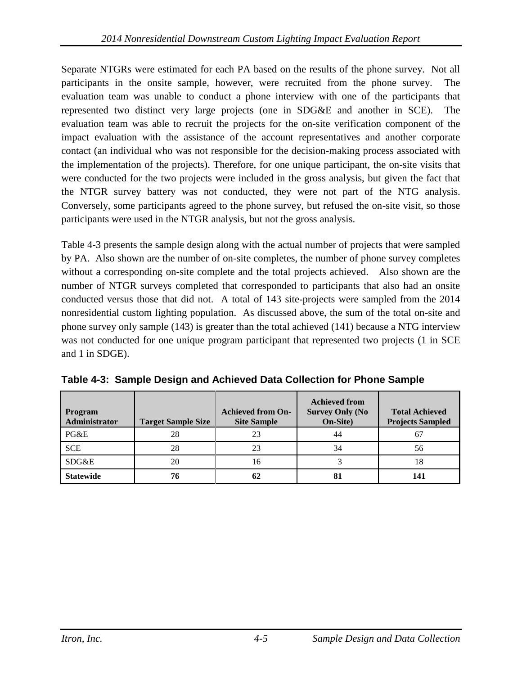Separate NTGRs were estimated for each PA based on the results of the phone survey. Not all participants in the onsite sample, however, were recruited from the phone survey. The evaluation team was unable to conduct a phone interview with one of the participants that represented two distinct very large projects (one in SDG&E and another in SCE). The evaluation team was able to recruit the projects for the on-site verification component of the impact evaluation with the assistance of the account representatives and another corporate contact (an individual who was not responsible for the decision-making process associated with the implementation of the projects). Therefore, for one unique participant, the on-site visits that were conducted for the two projects were included in the gross analysis, but given the fact that the NTGR survey battery was not conducted, they were not part of the NTG analysis. Conversely, some participants agreed to the phone survey, but refused the on-site visit, so those participants were used in the NTGR analysis, but not the gross analysis.

Table 4-3 presents the sample design along with the actual number of projects that were sampled by PA. Also shown are the number of on-site completes, the number of phone survey completes without a corresponding on-site complete and the total projects achieved. Also shown are the number of NTGR surveys completed that corresponded to participants that also had an onsite conducted versus those that did not. A total of 143 site-projects were sampled from the 2014 nonresidential custom lighting population. As discussed above, the sum of the total on-site and phone survey only sample (143) is greater than the total achieved (141) because a NTG interview was not conducted for one unique program participant that represented two projects (1 in SCE and 1 in SDGE).

| <b>Program</b><br>Administrator | <b>Target Sample Size</b> | <b>Achieved from On-</b><br><b>Site Sample</b> | <b>Achieved from</b><br><b>Survey Only (No</b><br>On-Site) | <b>Total Achieved</b><br><b>Projects Sampled</b> |
|---------------------------------|---------------------------|------------------------------------------------|------------------------------------------------------------|--------------------------------------------------|
| PG&E                            | 28                        | 23                                             | 44                                                         | 67                                               |
| <b>SCE</b>                      | 28                        | 23                                             | 34                                                         | 56                                               |
| SDG&E                           | 20                        | 16                                             |                                                            | 18                                               |
| <b>Statewide</b>                | 76                        | 62                                             | 81                                                         | 141                                              |

**Table 4-3: Sample Design and Achieved Data Collection for Phone Sample**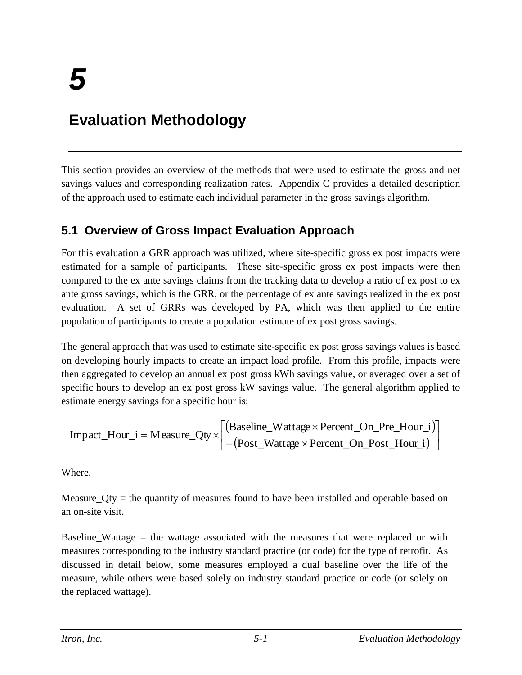# **Evaluation Methodology**

This section provides an overview of the methods that were used to estimate the gross and net savings values and corresponding realization rates. Appendix C provides a detailed description of the approach used to estimate each individual parameter in the gross savings algorithm.

## **5.1 Overview of Gross Impact Evaluation Approach**

For this evaluation a GRR approach was utilized, where site-specific gross ex post impacts were estimated for a sample of participants. These site-specific gross ex post impacts were then compared to the ex ante savings claims from the tracking data to develop a ratio of ex post to ex ante gross savings, which is the GRR, or the percentage of ex ante savings realized in the ex post evaluation. A set of GRRs was developed by PA, which was then applied to the entire population of participants to create a population estimate of ex post gross savings.

The general approach that was used to estimate site-specific ex post gross savings values is based on developing hourly impacts to create an impact load profile. From this profile, impacts were then aggregated to develop an annual ex post gross kWh savings value, or averaged over a set of specific hours to develop an ex post gross kW savings value. The general algorithm applied to estimate energy savings for a specific hour is:

$$
Impact\_Hour\_i = Measure\_Qty \times \begin{bmatrix} (Basicline\_Wattage \times Percent\_On\_Pre\_Hour\_i) \\ -(Post\_Wattage \times Percent\_On\_Post\_Hour\_i) \end{bmatrix}
$$

Where,

Measure  $Qty =$  the quantity of measures found to have been installed and operable based on an on-site visit.

Baseline\_Wattage = the wattage associated with the measures that were replaced or with measures corresponding to the industry standard practice (or code) for the type of retrofit. As discussed in detail below, some measures employed a dual baseline over the life of the measure, while others were based solely on industry standard practice or code (or solely on the replaced wattage).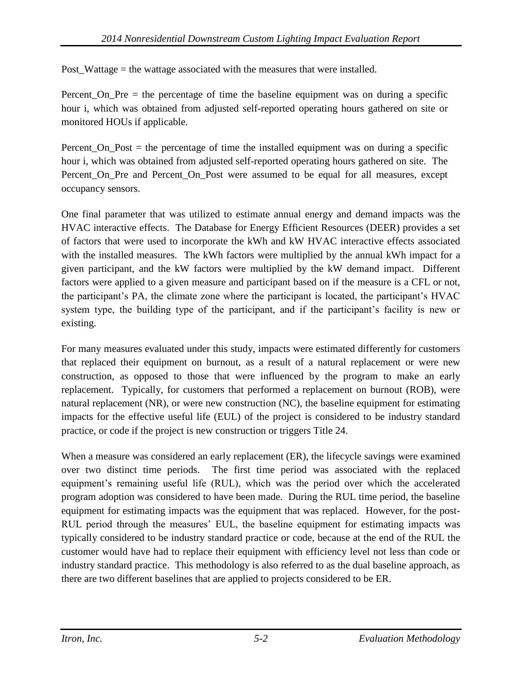Post\_Wattage = the wattage associated with the measures that were installed.

Percent\_On\_Pre = the percentage of time the baseline equipment was on during a specific hour i, which was obtained from adjusted self-reported operating hours gathered on site or monitored HOUs if applicable.

Percent On Post  $=$  the percentage of time the installed equipment was on during a specific hour i, which was obtained from adjusted self-reported operating hours gathered on site. The Percent\_On\_Pre and Percent\_On\_Post were assumed to be equal for all measures, except occupancy sensors.

One final parameter that was utilized to estimate annual energy and demand impacts was the HVAC interactive effects. The Database for Energy Efficient Resources (DEER) provides a set of factors that were used to incorporate the kWh and kW HVAC interactive effects associated with the installed measures. The kWh factors were multiplied by the annual kWh impact for a given participant, and the kW factors were multiplied by the kW demand impact. Different factors were applied to a given measure and participant based on if the measure is a CFL or not, the participant's PA, the climate zone where the participant is located, the participant's HVAC system type, the building type of the participant, and if the participant's facility is new or existing.

For many measures evaluated under this study, impacts were estimated differently for customers that replaced their equipment on burnout, as a result of a natural replacement or were new construction, as opposed to those that were influenced by the program to make an early replacement. Typically, for customers that performed a replacement on burnout (ROB), were natural replacement (NR), or were new construction (NC), the baseline equipment for estimating impacts for the effective useful life (EUL) of the project is considered to be industry standard practice, or code if the project is new construction or triggers Title 24.

When a measure was considered an early replacement (ER), the lifecycle savings were examined over two distinct time periods. The first time period was associated with the replaced equipment's remaining useful life (RUL), which was the period over which the accelerated program adoption was considered to have been made. During the RUL time period, the baseline equipment for estimating impacts was the equipment that was replaced. However, for the post-RUL period through the measures' EUL, the baseline equipment for estimating impacts was typically considered to be industry standard practice or code, because at the end of the RUL the customer would have had to replace their equipment with efficiency level not less than code or industry standard practice. This methodology is also referred to as the dual baseline approach, as there are two different baselines that are applied to projects considered to be ER.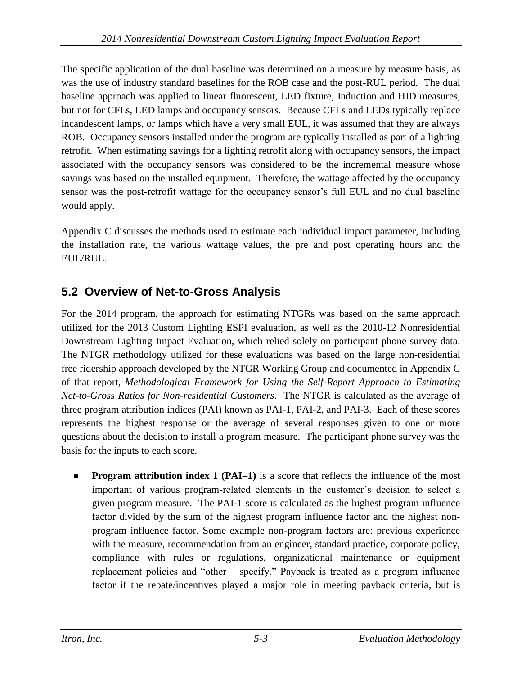The specific application of the dual baseline was determined on a measure by measure basis, as was the use of industry standard baselines for the ROB case and the post-RUL period. The dual baseline approach was applied to linear fluorescent, LED fixture, Induction and HID measures, but not for CFLs, LED lamps and occupancy sensors. Because CFLs and LEDs typically replace incandescent lamps, or lamps which have a very small EUL, it was assumed that they are always ROB. Occupancy sensors installed under the program are typically installed as part of a lighting retrofit. When estimating savings for a lighting retrofit along with occupancy sensors, the impact associated with the occupancy sensors was considered to be the incremental measure whose savings was based on the installed equipment. Therefore, the wattage affected by the occupancy sensor was the post-retrofit wattage for the occupancy sensor's full EUL and no dual baseline would apply.

Appendix C discusses the methods used to estimate each individual impact parameter, including the installation rate, the various wattage values, the pre and post operating hours and the EUL/RUL.

## **5.2 Overview of Net-to-Gross Analysis**

For the 2014 program, the approach for estimating NTGRs was based on the same approach utilized for the 2013 Custom Lighting ESPI evaluation, as well as the 2010-12 Nonresidential Downstream Lighting Impact Evaluation, which relied solely on participant phone survey data. The NTGR methodology utilized for these evaluations was based on the large non-residential free ridership approach developed by the NTGR Working Group and documented in Appendix C of that report, *Methodological Framework for Using the Self-Report Approach to Estimating Net-to-Gross Ratios for Non-residential Customers*. The NTGR is calculated as the average of three program attribution indices (PAI) known as PAI-1, PAI-2, and PAI-3. Each of these scores represents the highest response or the average of several responses given to one or more questions about the decision to install a program measure. The participant phone survey was the basis for the inputs to each score.

**Program attribution index 1 (PAI–1)** is a score that reflects the influence of the most important of various program-related elements in the customer's decision to select a given program measure. The PAI-1 score is calculated as the highest program influence factor divided by the sum of the highest program influence factor and the highest nonprogram influence factor. Some example non-program factors are: previous experience with the measure, recommendation from an engineer, standard practice, corporate policy, compliance with rules or regulations, organizational maintenance or equipment replacement policies and "other – specify." Payback is treated as a program influence factor if the rebate/incentives played a major role in meeting payback criteria, but is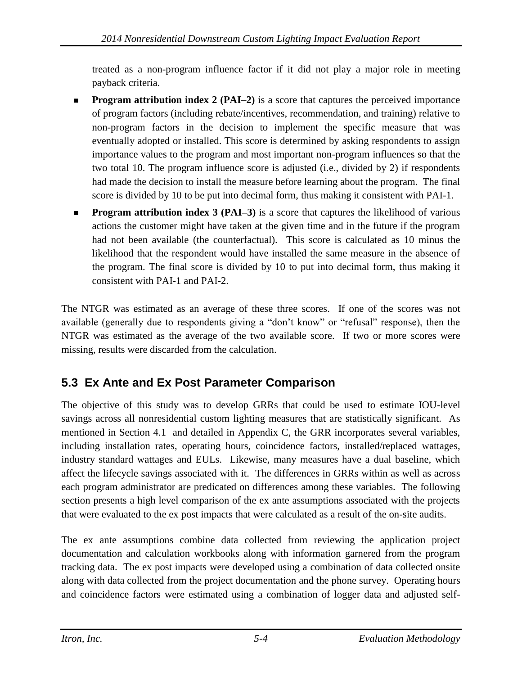treated as a non-program influence factor if it did not play a major role in meeting payback criteria.

- **Program attribution index 2 (PAI–2)** is a score that captures the perceived importance of program factors (including rebate/incentives, recommendation, and training) relative to non-program factors in the decision to implement the specific measure that was eventually adopted or installed. This score is determined by asking respondents to assign importance values to the program and most important non-program influences so that the two total 10. The program influence score is adjusted (i.e., divided by 2) if respondents had made the decision to install the measure before learning about the program. The final score is divided by 10 to be put into decimal form, thus making it consistent with PAI-1.
- **Program attribution index 3 (PAI–3)** is a score that captures the likelihood of various actions the customer might have taken at the given time and in the future if the program had not been available (the counterfactual). This score is calculated as 10 minus the likelihood that the respondent would have installed the same measure in the absence of the program. The final score is divided by 10 to put into decimal form, thus making it consistent with PAI-1 and PAI-2.

The NTGR was estimated as an average of these three scores. If one of the scores was not available (generally due to respondents giving a "don't know" or "refusal" response), then the NTGR was estimated as the average of the two available score. If two or more scores were missing, results were discarded from the calculation.

## <span id="page-24-0"></span>**5.3 Ex Ante and Ex Post Parameter Comparison**

The objective of this study was to develop GRRs that could be used to estimate IOU-level savings across all nonresidential custom lighting measures that are statistically significant. As mentioned in Section [4.1 a](#page-16-0)nd detailed in Appendix C, the GRR incorporates several variables, including installation rates, operating hours, coincidence factors, installed/replaced wattages, industry standard wattages and EULs. Likewise, many measures have a dual baseline, which affect the lifecycle savings associated with it. The differences in GRRs within as well as across each program administrator are predicated on differences among these variables. The following section presents a high level comparison of the ex ante assumptions associated with the projects that were evaluated to the ex post impacts that were calculated as a result of the on-site audits.

The ex ante assumptions combine data collected from reviewing the application project documentation and calculation workbooks along with information garnered from the program tracking data. The ex post impacts were developed using a combination of data collected onsite along with data collected from the project documentation and the phone survey. Operating hours and coincidence factors were estimated using a combination of logger data and adjusted self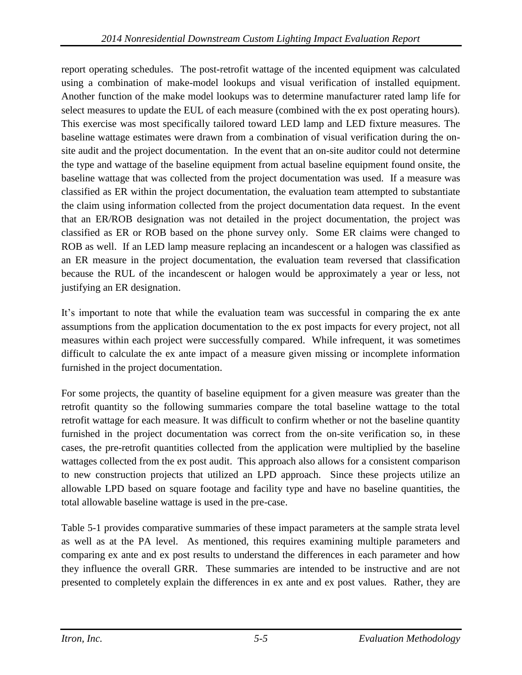report operating schedules. The post-retrofit wattage of the incented equipment was calculated using a combination of make-model lookups and visual verification of installed equipment. Another function of the make model lookups was to determine manufacturer rated lamp life for select measures to update the EUL of each measure (combined with the ex post operating hours). This exercise was most specifically tailored toward LED lamp and LED fixture measures. The baseline wattage estimates were drawn from a combination of visual verification during the onsite audit and the project documentation. In the event that an on-site auditor could not determine the type and wattage of the baseline equipment from actual baseline equipment found onsite, the baseline wattage that was collected from the project documentation was used. If a measure was classified as ER within the project documentation, the evaluation team attempted to substantiate the claim using information collected from the project documentation data request. In the event that an ER/ROB designation was not detailed in the project documentation, the project was classified as ER or ROB based on the phone survey only. Some ER claims were changed to ROB as well. If an LED lamp measure replacing an incandescent or a halogen was classified as an ER measure in the project documentation, the evaluation team reversed that classification because the RUL of the incandescent or halogen would be approximately a year or less, not justifying an ER designation.

It's important to note that while the evaluation team was successful in comparing the ex ante assumptions from the application documentation to the ex post impacts for every project, not all measures within each project were successfully compared. While infrequent, it was sometimes difficult to calculate the ex ante impact of a measure given missing or incomplete information furnished in the project documentation.

For some projects, the quantity of baseline equipment for a given measure was greater than the retrofit quantity so the following summaries compare the total baseline wattage to the total retrofit wattage for each measure. It was difficult to confirm whether or not the baseline quantity furnished in the project documentation was correct from the on-site verification so, in these cases, the pre-retrofit quantities collected from the application were multiplied by the baseline wattages collected from the ex post audit. This approach also allows for a consistent comparison to new construction projects that utilized an LPD approach. Since these projects utilize an allowable LPD based on square footage and facility type and have no baseline quantities, the total allowable baseline wattage is used in the pre-case.

[Table 5-1](#page-26-0) provides comparative summaries of these impact parameters at the sample strata level as well as at the PA level. As mentioned, this requires examining multiple parameters and comparing ex ante and ex post results to understand the differences in each parameter and how they influence the overall GRR. These summaries are intended to be instructive and are not presented to completely explain the differences in ex ante and ex post values. Rather, they are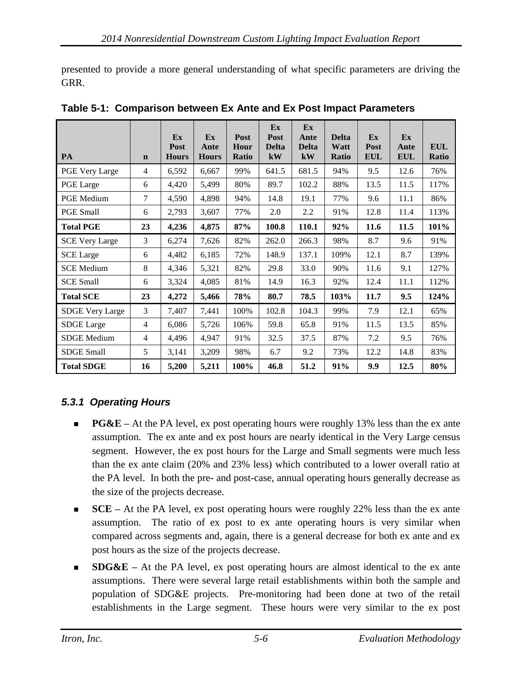presented to provide a more general understanding of what specific parameters are driving the GRR.

| <b>PA</b>              | $\mathbf n$    | Ex<br>Post<br><b>Hours</b> | Ex<br>Ante<br><b>Hours</b> | Post<br>Hour<br>Ratio | Ex<br>Post<br><b>Delta</b><br>kW | Ex<br>Ante<br><b>Delta</b><br>kW | <b>Delta</b><br>Watt<br><b>Ratio</b> | Ex<br>Post<br><b>EUL</b> | Ex<br>Ante<br><b>EUL</b> | <b>EUL</b><br>Ratio |
|------------------------|----------------|----------------------------|----------------------------|-----------------------|----------------------------------|----------------------------------|--------------------------------------|--------------------------|--------------------------|---------------------|
| PGE Very Large         | $\overline{4}$ | 6,592                      | 6,667                      | 99%                   | 641.5                            | 681.5                            | 94%                                  | 9.5                      | 12.6                     | 76%                 |
| PGE Large              | 6              | 4,420                      | 5,499                      | 80%                   | 89.7                             | 102.2                            | 88%                                  | 13.5                     | 11.5                     | 117%                |
| <b>PGE</b> Medium      | $\overline{7}$ | 4,590                      | 4,898                      | 94%                   | 14.8                             | 19.1                             | 77%                                  | 9.6                      | 11.1                     | 86%                 |
| <b>PGE Small</b>       | 6              | 2,793                      | 3,607                      | 77%                   | 2.0                              | $2.2^{\circ}$                    | 91%                                  | 12.8                     | 11.4                     | 113%                |
| <b>Total PGE</b>       | 23             | 4,236                      | 4,875                      | 87%                   | 100.8                            | 110.1                            | 92%                                  | 11.6                     | 11.5                     | 101%                |
| <b>SCE Very Large</b>  | 3              | 6,274                      | 7,626                      | 82%                   | 262.0                            | 266.3                            | 98%                                  | 8.7                      | 9.6                      | 91%                 |
| <b>SCE</b> Large       | 6              | 4,482                      | 6,185                      | 72%                   | 148.9                            | 137.1                            | 109%                                 | 12.1                     | 8.7                      | 139%                |
| <b>SCE Medium</b>      | 8              | 4,346                      | 5,321                      | 82%                   | 29.8                             | 33.0                             | 90%                                  | 11.6                     | 9.1                      | 127%                |
| <b>SCE Small</b>       | 6              | 3,324                      | 4,085                      | 81%                   | 14.9                             | 16.3                             | 92%                                  | 12.4                     | 11.1                     | 112%                |
| <b>Total SCE</b>       | 23             | 4,272                      | 5,466                      | 78%                   | 80.7                             | 78.5                             | 103%                                 | 11.7                     | 9.5                      | 124%                |
| <b>SDGE Very Large</b> | 3              | 7,407                      | 7,441                      | 100%                  | 102.8                            | 104.3                            | 99%                                  | 7.9                      | 12.1                     | 65%                 |
| <b>SDGE</b> Large      | $\overline{4}$ | 6,086                      | 5,726                      | 106%                  | 59.8                             | 65.8                             | 91%                                  | 11.5                     | 13.5                     | 85%                 |
| <b>SDGE</b> Medium     | $\overline{4}$ | 4,496                      | 4,947                      | 91%                   | 32.5                             | 37.5                             | 87%                                  | 7.2                      | 9.5                      | 76%                 |
| <b>SDGE Small</b>      | 5              | 3,141                      | 3,209                      | 98%                   | 6.7                              | 9.2                              | 73%                                  | 12.2                     | 14.8                     | 83%                 |
| <b>Total SDGE</b>      | 16             | 5,200                      | 5,211                      | 100%                  | 46.8                             | 51.2                             | 91%                                  | 9.9                      | 12.5                     | 80%                 |

<span id="page-26-0"></span>**Table 5-1: Comparison between Ex Ante and Ex Post Impact Parameters**

## *5.3.1 Operating Hours*

- **PG&E –** At the PA level, ex post operating hours were roughly 13% less than the ex ante assumption. The ex ante and ex post hours are nearly identical in the Very Large census segment. However, the ex post hours for the Large and Small segments were much less than the ex ante claim (20% and 23% less) which contributed to a lower overall ratio at the PA level. In both the pre- and post-case, annual operating hours generally decrease as the size of the projects decrease.
- **SCE** At the PA level, ex post operating hours were roughly 22% less than the ex ante assumption. The ratio of ex post to ex ante operating hours is very similar when compared across segments and, again, there is a general decrease for both ex ante and ex post hours as the size of the projects decrease.
- **SDG&E –** At the PA level, ex post operating hours are almost identical to the ex ante assumptions. There were several large retail establishments within both the sample and population of SDG&E projects. Pre-monitoring had been done at two of the retail establishments in the Large segment. These hours were very similar to the ex post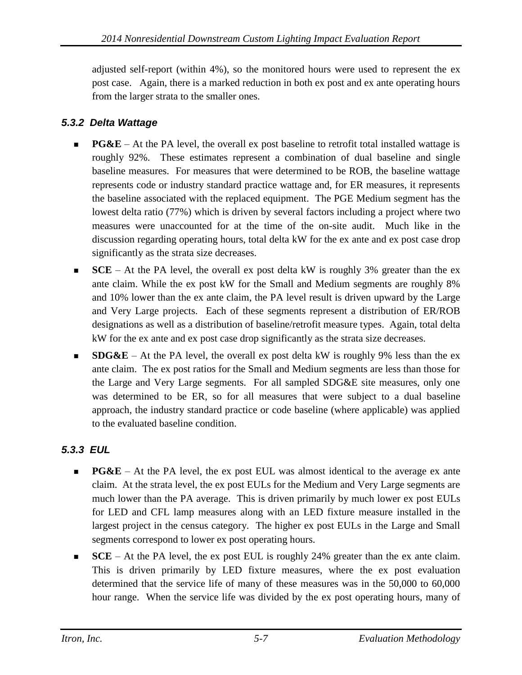adjusted self-report (within 4%), so the monitored hours were used to represent the ex post case. Again, there is a marked reduction in both ex post and ex ante operating hours from the larger strata to the smaller ones.

#### *5.3.2 Delta Wattage*

- **PG&E** At the PA level, the overall ex post baseline to retrofit total installed wattage is roughly 92%. These estimates represent a combination of dual baseline and single baseline measures. For measures that were determined to be ROB, the baseline wattage represents code or industry standard practice wattage and, for ER measures, it represents the baseline associated with the replaced equipment. The PGE Medium segment has the lowest delta ratio (77%) which is driven by several factors including a project where two measures were unaccounted for at the time of the on-site audit. Much like in the discussion regarding operating hours, total delta kW for the ex ante and ex post case drop significantly as the strata size decreases.
- **SCE** At the PA level, the overall ex post delta kW is roughly 3% greater than the ex ante claim. While the ex post kW for the Small and Medium segments are roughly 8% and 10% lower than the ex ante claim, the PA level result is driven upward by the Large and Very Large projects. Each of these segments represent a distribution of ER/ROB designations as well as a distribution of baseline/retrofit measure types. Again, total delta kW for the ex ante and ex post case drop significantly as the strata size decreases.
- **SDG&E** At the PA level, the overall ex post delta kW is roughly 9% less than the ex ante claim. The ex post ratios for the Small and Medium segments are less than those for the Large and Very Large segments. For all sampled SDG&E site measures, only one was determined to be ER, so for all measures that were subject to a dual baseline approach, the industry standard practice or code baseline (where applicable) was applied to the evaluated baseline condition.

### *5.3.3 EUL*

- **PG&E** At the PA level, the ex post EUL was almost identical to the average ex ante claim. At the strata level, the ex post EULs for the Medium and Very Large segments are much lower than the PA average. This is driven primarily by much lower ex post EULs for LED and CFL lamp measures along with an LED fixture measure installed in the largest project in the census category. The higher ex post EULs in the Large and Small segments correspond to lower ex post operating hours.
- **SCE** At the PA level, the ex post EUL is roughly 24% greater than the ex ante claim. This is driven primarily by LED fixture measures, where the ex post evaluation determined that the service life of many of these measures was in the 50,000 to 60,000 hour range. When the service life was divided by the ex post operating hours, many of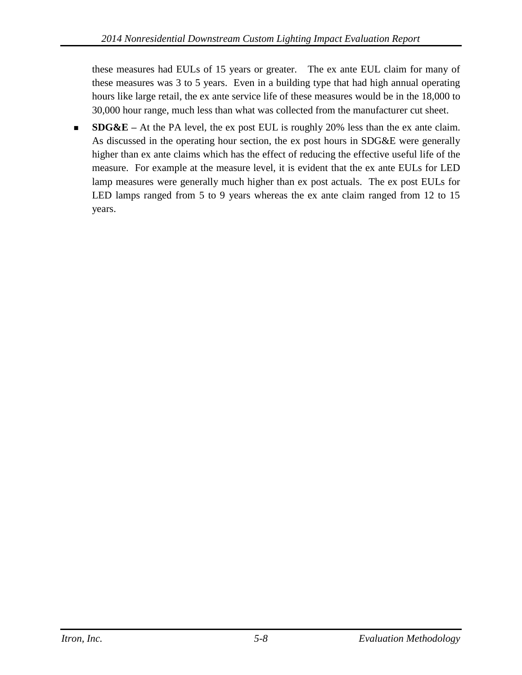these measures had EULs of 15 years or greater. The ex ante EUL claim for many of these measures was 3 to 5 years. Even in a building type that had high annual operating hours like large retail, the ex ante service life of these measures would be in the 18,000 to 30,000 hour range, much less than what was collected from the manufacturer cut sheet.

 **SDG&E –** At the PA level, the ex post EUL is roughly 20% less than the ex ante claim. As discussed in the operating hour section, the ex post hours in SDG&E were generally higher than ex ante claims which has the effect of reducing the effective useful life of the measure. For example at the measure level, it is evident that the ex ante EULs for LED lamp measures were generally much higher than ex post actuals. The ex post EULs for LED lamps ranged from 5 to 9 years whereas the ex ante claim ranged from 12 to 15 years.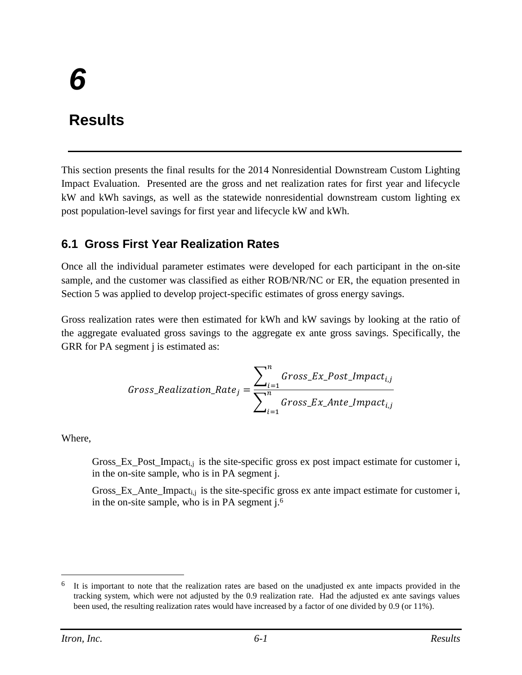# *6*

# **Results**

This section presents the final results for the 2014 Nonresidential Downstream Custom Lighting Impact Evaluation. Presented are the gross and net realization rates for first year and lifecycle kW and kWh savings, as well as the statewide nonresidential downstream custom lighting ex post population-level savings for first year and lifecycle kW and kWh.

## **6.1 Gross First Year Realization Rates**

Once all the individual parameter estimates were developed for each participant in the on-site sample, and the customer was classified as either ROB/NR/NC or ER, the equation presented in Section 5 was applied to develop project-specific estimates of gross energy savings.

Gross realization rates were then estimated for kWh and kW savings by looking at the ratio of the aggregate evaluated gross savings to the aggregate ex ante gross savings. Specifically, the GRR for PA segment j is estimated as:

$$
Gross\_Realization\_Rate_j = \frac{\sum_{i=1}^{n} Gross\_Ex\_Post\_impact_{i,j}}{\sum_{i=1}^{n} Gross\_Ex\_Ante\_impact_{i,j}}
$$

Where,

Gross\_Ex\_Post\_Impact<sub>i,j</sub> is the site-specific gross ex post impact estimate for customer i, in the on-site sample, who is in PA segment j.

Gross\_Ex\_Ante\_Impact<sub>i,j</sub> is the site-specific gross ex ante impact estimate for customer i, in the on-site sample, who is in PA segment j.<sup>6</sup>

 $\overline{a}$ 

<sup>&</sup>lt;sup>6</sup> It is important to note that the realization rates are based on the unadjusted ex ante impacts provided in the tracking system, which were not adjusted by the 0.9 realization rate. Had the adjusted ex ante savings values been used, the resulting realization rates would have increased by a factor of one divided by 0.9 (or 11%).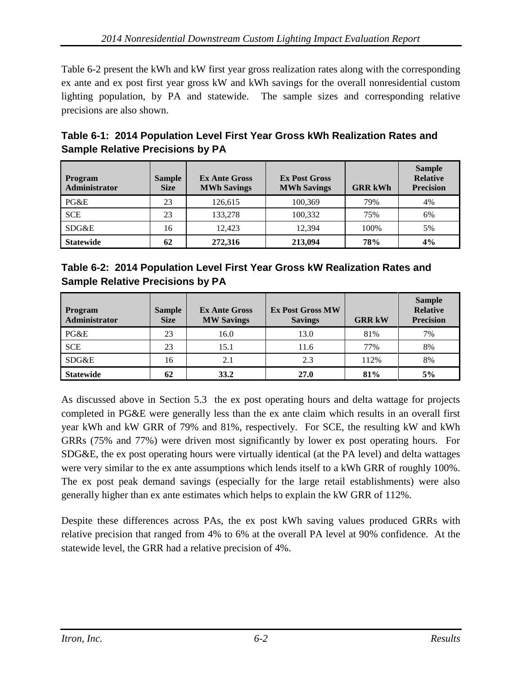Table 6-2 present the kWh and kW first year gross realization rates along with the corresponding ex ante and ex post first year gross kW and kWh savings for the overall nonresidential custom lighting population, by PA and statewide. The sample sizes and corresponding relative precisions are also shown.

| Table 6-1: 2014 Population Level First Year Gross kWh Realization Rates and |  |
|-----------------------------------------------------------------------------|--|
| <b>Sample Relative Precisions by PA</b>                                     |  |

| <b>Program</b><br>Administrator | <b>Sample</b><br><b>Size</b> | <b>Ex Ante Gross</b><br><b>MWh Savings</b> | <b>Ex Post Gross</b><br><b>MWh Savings</b> | <b>GRR kWh</b> | <b>Sample</b><br><b>Relative</b><br><b>Precision</b> |
|---------------------------------|------------------------------|--------------------------------------------|--------------------------------------------|----------------|------------------------------------------------------|
| PG&E                            | 23                           | 126.615                                    | 100,369                                    | 79%            | 4%                                                   |
| <b>SCE</b>                      | 23                           | 133,278                                    | 100.332                                    | 75%            | 6%                                                   |
| SDG&E                           | 16                           | 12.423                                     | 12.394                                     | 100%           | 5%                                                   |
| <b>Statewide</b>                | 62                           | 272,316                                    | 213,094                                    | 78%            | 4%                                                   |

|                                         | Table 6-2: 2014 Population Level First Year Gross kW Realization Rates and |
|-----------------------------------------|----------------------------------------------------------------------------|
| <b>Sample Relative Precisions by PA</b> |                                                                            |

| <b>Program</b><br>Administrator | <b>Sample</b><br><b>Size</b> | <b>Ex Ante Gross</b><br><b>MW Savings</b> | <b>Ex Post Gross MW</b><br><b>Savings</b> | <b>GRR kW</b> | <b>Sample</b><br><b>Relative</b><br><b>Precision</b> |
|---------------------------------|------------------------------|-------------------------------------------|-------------------------------------------|---------------|------------------------------------------------------|
| PG&E                            | 23                           | 16.0                                      | 13.0                                      | 81%           | 7%                                                   |
| <b>SCE</b>                      | 23                           | 15.1                                      | 11.6                                      | 77%           | 8%                                                   |
| SDG&E                           | 16                           | 2.1                                       | 2.3                                       | 112%          | 8%                                                   |
| <b>Statewide</b>                | 62                           | 33.2                                      | 27.0                                      | 81%           | 5%                                                   |

As discussed above in Section [5.3 t](#page-24-0)he ex post operating hours and delta wattage for projects completed in PG&E were generally less than the ex ante claim which results in an overall first year kWh and kW GRR of 79% and 81%, respectively. For SCE, the resulting kW and kWh GRRs (75% and 77%) were driven most significantly by lower ex post operating hours. For SDG&E, the ex post operating hours were virtually identical (at the PA level) and delta wattages were very similar to the ex ante assumptions which lends itself to a kWh GRR of roughly 100%. The ex post peak demand savings (especially for the large retail establishments) were also generally higher than ex ante estimates which helps to explain the kW GRR of 112%.

Despite these differences across PAs, the ex post kWh saving values produced GRRs with relative precision that ranged from 4% to 6% at the overall PA level at 90% confidence. At the statewide level, the GRR had a relative precision of 4%.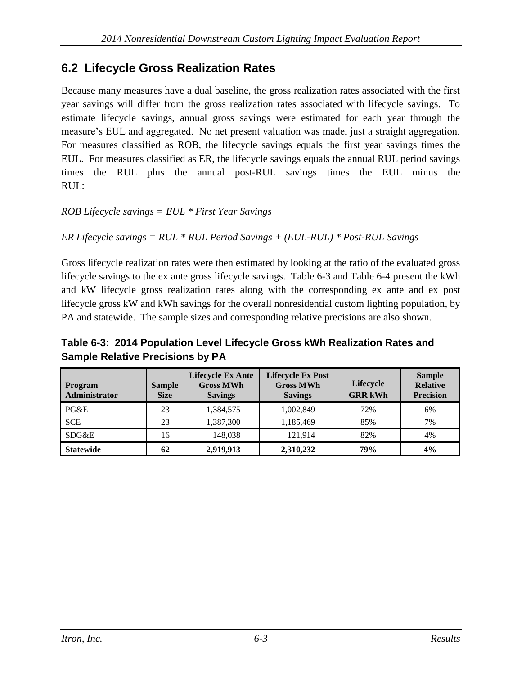## **6.2 Lifecycle Gross Realization Rates**

Because many measures have a dual baseline, the gross realization rates associated with the first year savings will differ from the gross realization rates associated with lifecycle savings. To estimate lifecycle savings, annual gross savings were estimated for each year through the measure's EUL and aggregated. No net present valuation was made, just a straight aggregation. For measures classified as ROB, the lifecycle savings equals the first year savings times the EUL. For measures classified as ER, the lifecycle savings equals the annual RUL period savings times the RUL plus the annual post-RUL savings times the EUL minus the RUL:

#### *ROB Lifecycle savings = EUL \* First Year Savings*

```
ER Lifecycle savings = RUL * RUL Period Savings + (EUL-RUL) * Post-RUL Savings
```
Gross lifecycle realization rates were then estimated by looking at the ratio of the evaluated gross lifecycle savings to the ex ante gross lifecycle savings. Table 6-3 and Table 6-4 present the kWh and kW lifecycle gross realization rates along with the corresponding ex ante and ex post lifecycle gross kW and kWh savings for the overall nonresidential custom lighting population, by PA and statewide. The sample sizes and corresponding relative precisions are also shown.

#### **Table 6-3: 2014 Population Level Lifecycle Gross kWh Realization Rates and Sample Relative Precisions by PA**

| <b>Program</b><br><b>Administrator</b> | <b>Sample</b><br><b>Size</b> | <b>Lifecycle Ex Ante</b><br><b>Gross MWh</b><br><b>Savings</b> | <b>Lifecycle Ex Post</b><br><b>Gross MWh</b><br><b>Savings</b> | <b>Lifecycle</b><br><b>GRR kWh</b> | <b>Sample</b><br><b>Relative</b><br><b>Precision</b> |
|----------------------------------------|------------------------------|----------------------------------------------------------------|----------------------------------------------------------------|------------------------------------|------------------------------------------------------|
| PG&E                                   | 23                           | 1,384,575                                                      | 1,002,849                                                      | 72%                                | 6%                                                   |
| <b>SCE</b>                             | 23                           | 1,387,300                                                      | 1,185,469                                                      | 85%                                | 7%                                                   |
| SDG&E                                  | 16                           | 148.038                                                        | 121.914                                                        | 82%                                | 4%                                                   |
| <b>Statewide</b>                       | 62                           | 2,919,913                                                      | 2,310,232                                                      | 79%                                | 4%                                                   |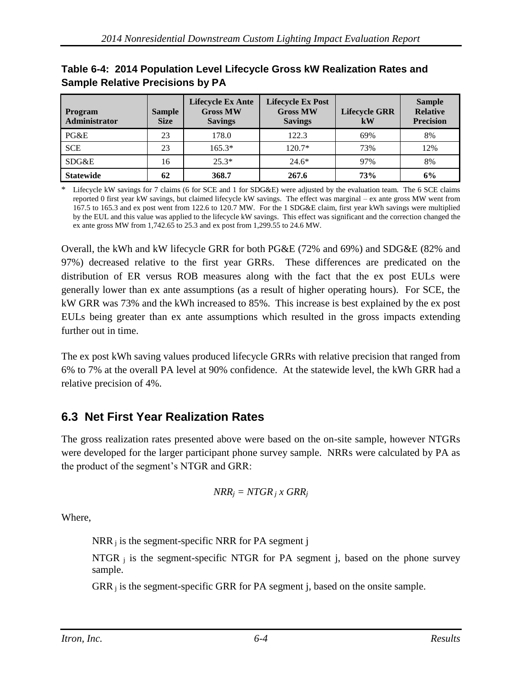| Program<br><b>Administrator</b> | <b>Sample</b><br><b>Size</b> | <b>Lifecycle Ex Ante</b><br><b>Gross MW</b><br><b>Savings</b> | <b>Lifecycle Ex Post</b><br><b>Gross MW</b><br><b>Savings</b> | <b>Lifecycle GRR</b><br>kW | <b>Sample</b><br><b>Relative</b><br><b>Precision</b> |
|---------------------------------|------------------------------|---------------------------------------------------------------|---------------------------------------------------------------|----------------------------|------------------------------------------------------|
| PG&E                            | 23                           | 178.0                                                         | 122.3                                                         | 69%                        | 8%                                                   |
| <b>SCE</b>                      | 23                           | $165.3*$                                                      | $120.7*$                                                      | 73%                        | 12%                                                  |
| SDG&E                           | 16                           | $25.3*$                                                       | $24.6*$                                                       | 97%                        | 8%                                                   |
| <b>Statewide</b>                | 62                           | 368.7                                                         | 267.6                                                         | <b>73%</b>                 | 6%                                                   |

#### **Table 6-4: 2014 Population Level Lifecycle Gross kW Realization Rates and Sample Relative Precisions by PA**

Lifecycle kW savings for 7 claims (6 for SCE and 1 for SDG&E) were adjusted by the evaluation team. The 6 SCE claims reported 0 first year kW savings, but claimed lifecycle kW savings. The effect was marginal – ex ante gross MW went from 167.5 to 165.3 and ex post went from 122.6 to 120.7 MW. For the 1 SDG&E claim, first year kWh savings were multiplied by the EUL and this value was applied to the lifecycle kW savings. This effect was significant and the correction changed the ex ante gross MW from 1,742.65 to 25.3 and ex post from 1,299.55 to 24.6 MW.

Overall, the kWh and kW lifecycle GRR for both PG&E (72% and 69%) and SDG&E (82% and 97%) decreased relative to the first year GRRs. These differences are predicated on the distribution of ER versus ROB measures along with the fact that the ex post EULs were generally lower than ex ante assumptions (as a result of higher operating hours). For SCE, the kW GRR was 73% and the kWh increased to 85%. This increase is best explained by the ex post EULs being greater than ex ante assumptions which resulted in the gross impacts extending further out in time.

The ex post kWh saving values produced lifecycle GRRs with relative precision that ranged from 6% to 7% at the overall PA level at 90% confidence. At the statewide level, the kWh GRR had a relative precision of 4%.

## **6.3 Net First Year Realization Rates**

The gross realization rates presented above were based on the on-site sample, however NTGRs were developed for the larger participant phone survey sample. NRRs were calculated by PA as the product of the segment's NTGR and GRR:

$$
NRR_j = NTGR_j \times GRR_j
$$

Where,

 $NRR_i$  is the segment-specific NRR for PA segment j

NTGR  $\mathbf{i}$  is the segment-specific NTGR for PA segment j, based on the phone survey sample.

 $GRR_i$  is the segment-specific GRR for PA segment j, based on the onsite sample.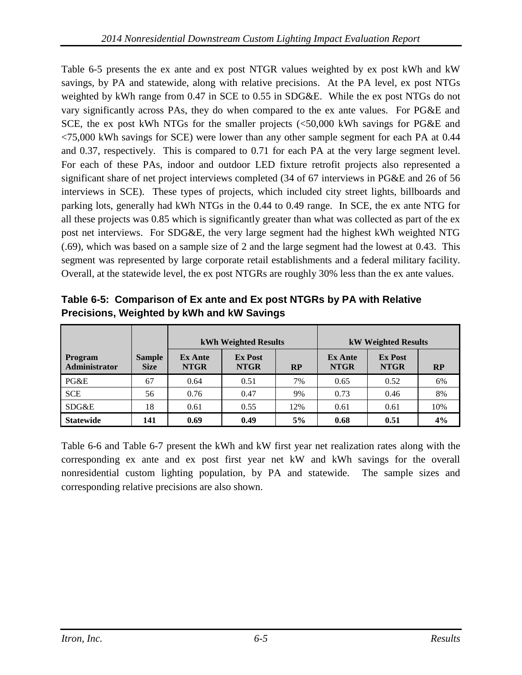Table 6-5 presents the ex ante and ex post NTGR values weighted by ex post kWh and kW savings, by PA and statewide, along with relative precisions. At the PA level, ex post NTGs weighted by kWh range from 0.47 in SCE to 0.55 in SDG&E. While the ex post NTGs do not vary significantly across PAs, they do when compared to the ex ante values. For PG&E and SCE, the ex post kWh NTGs for the smaller projects (<50,000 kWh savings for PG&E and <75,000 kWh savings for SCE) were lower than any other sample segment for each PA at 0.44 and 0.37, respectively. This is compared to 0.71 for each PA at the very large segment level. For each of these PAs, indoor and outdoor LED fixture retrofit projects also represented a significant share of net project interviews completed (34 of 67 interviews in PG&E and 26 of 56 interviews in SCE). These types of projects, which included city street lights, billboards and parking lots, generally had kWh NTGs in the 0.44 to 0.49 range. In SCE, the ex ante NTG for all these projects was 0.85 which is significantly greater than what was collected as part of the ex post net interviews. For SDG&E, the very large segment had the highest kWh weighted NTG (.69), which was based on a sample size of 2 and the large segment had the lowest at 0.43. This segment was represented by large corporate retail establishments and a federal military facility. Overall, at the statewide level, the ex post NTGRs are roughly 30% less than the ex ante values.

|                          |                              | kWh Weighted Results          |                               |           |                               | <b>kW Weighted Results</b>    |     |
|--------------------------|------------------------------|-------------------------------|-------------------------------|-----------|-------------------------------|-------------------------------|-----|
| Program<br>Administrator | <b>Sample</b><br><b>Size</b> | <b>Ex Ante</b><br><b>NTGR</b> | <b>Ex Post</b><br><b>NTGR</b> | <b>RP</b> | <b>Ex Ante</b><br><b>NTGR</b> | <b>Ex Post</b><br><b>NTGR</b> | RP  |
| PG&E                     | 67                           | 0.64                          | 0.51                          | 7%        | 0.65                          | 0.52                          | 6%  |
| <b>SCE</b>               | 56                           | 0.76                          | 0.47                          | 9%        | 0.73                          | 0.46                          | 8%  |
| SDG&E                    | 18                           | 0.61                          | 0.55                          | 12%       | 0.61                          | 0.61                          | 10% |
| <b>Statewide</b>         | 141                          | 0.69                          | 0.49                          | 5%        | 0.68                          | 0.51                          | 4%  |

<span id="page-33-0"></span>**Table 6-5: Comparison of Ex ante and Ex post NTGRs by PA with Relative Precisions, Weighted by kWh and kW Savings** 

Table 6-6 and Table 6-7 present the kWh and kW first year net realization rates along with the corresponding ex ante and ex post first year net kW and kWh savings for the overall nonresidential custom lighting population, by PA and statewide. The sample sizes and corresponding relative precisions are also shown.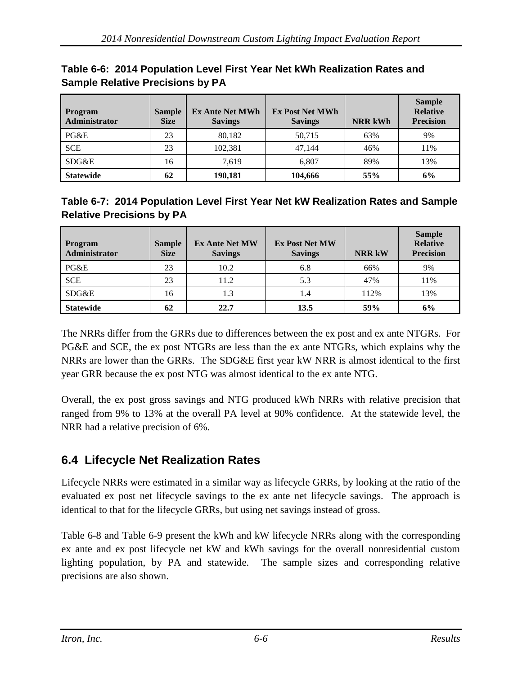| Program<br>Administrator | <b>Sample</b><br><b>Size</b> | <b>Ex Ante Net MWh</b><br><b>Savings</b> | <b>Ex Post Net MWh</b><br><b>Savings</b> | <b>NRR kWh</b> | <b>Sample</b><br><b>Relative</b><br><b>Precision</b> |
|--------------------------|------------------------------|------------------------------------------|------------------------------------------|----------------|------------------------------------------------------|
| PG&E                     | 23                           | 80,182                                   | 50.715                                   | 63%            | 9%                                                   |
| <b>SCE</b>               | 23                           | 102,381                                  | 47.144                                   | 46%            | 11%                                                  |
| SDG&E                    | 16                           | 7.619                                    | 6.807                                    | 89%            | 13%                                                  |
| <b>Statewide</b>         | 62                           | 190.181                                  | 104.666                                  | 55%            | 6%                                                   |

| Table 6-6: 2014 Population Level First Year Net kWh Realization Rates and |  |
|---------------------------------------------------------------------------|--|
| <b>Sample Relative Precisions by PA</b>                                   |  |

| Table 6-7: 2014 Population Level First Year Net kW Realization Rates and Sample |  |
|---------------------------------------------------------------------------------|--|
| <b>Relative Precisions by PA</b>                                                |  |

| Program<br>Administrator | <b>Sample</b><br><b>Size</b> | <b>Ex Ante Net MW</b><br><b>Savings</b> | <b>Ex Post Net MW</b><br><b>Savings</b> | <b>NRR kW</b> | <b>Sample</b><br><b>Relative</b><br><b>Precision</b> |
|--------------------------|------------------------------|-----------------------------------------|-----------------------------------------|---------------|------------------------------------------------------|
| PG&E                     | 23                           | 10.2                                    | 6.8                                     | 66%           | 9%                                                   |
| <b>SCE</b>               | 23                           | 11.2                                    | 5.3                                     | 47%           | 11%                                                  |
| SDG&E                    | 16                           | 1.3                                     | 1.4                                     | 112%          | 13%                                                  |
| <b>Statewide</b>         | 62                           | 22.7                                    | 13.5                                    | 59%           | 6%                                                   |

The NRRs differ from the GRRs due to differences between the ex post and ex ante NTGRs. For PG&E and SCE, the ex post NTGRs are less than the ex ante NTGRs, which explains why the NRRs are lower than the GRRs. The SDG&E first year kW NRR is almost identical to the first year GRR because the ex post NTG was almost identical to the ex ante NTG.

Overall, the ex post gross savings and NTG produced kWh NRRs with relative precision that ranged from 9% to 13% at the overall PA level at 90% confidence. At the statewide level, the NRR had a relative precision of 6%.

## **6.4 Lifecycle Net Realization Rates**

Lifecycle NRRs were estimated in a similar way as lifecycle GRRs, by looking at the ratio of the evaluated ex post net lifecycle savings to the ex ante net lifecycle savings. The approach is identical to that for the lifecycle GRRs, but using net savings instead of gross.

Table 6-8 and Table 6-9 present the kWh and kW lifecycle NRRs along with the corresponding ex ante and ex post lifecycle net kW and kWh savings for the overall nonresidential custom lighting population, by PA and statewide. The sample sizes and corresponding relative precisions are also shown.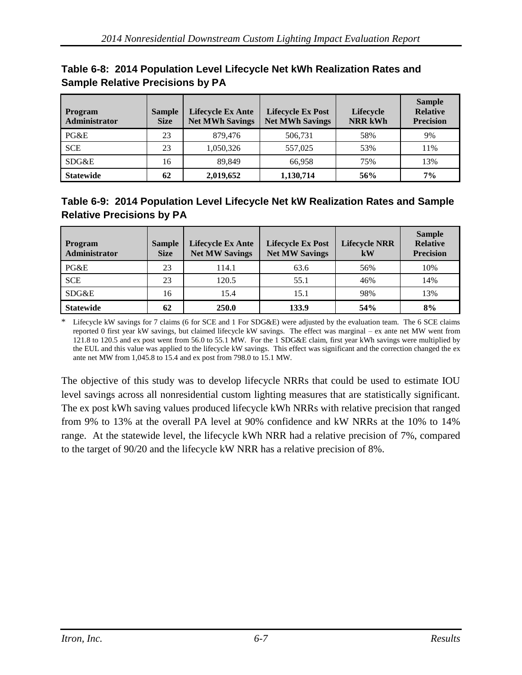| <b>Program</b><br><b>Administrator</b> | <b>Sample</b><br><b>Size</b> | <b>Lifecycle Ex Ante</b><br><b>Net MWh Savings</b> | <b>Lifecycle Ex Post</b><br><b>Net MWh Savings</b> | <b>Lifecycle</b><br><b>NRR kWh</b> | <b>Sample</b><br><b>Relative</b><br><b>Precision</b> |
|----------------------------------------|------------------------------|----------------------------------------------------|----------------------------------------------------|------------------------------------|------------------------------------------------------|
| PG&E                                   | 23                           | 879,476                                            | 506.731                                            | 58%                                | 9%                                                   |
| <b>SCE</b>                             | 23                           | 1,050,326                                          | 557,025                                            | 53%                                | 11%                                                  |
| SDG&E                                  | 16                           | 89.849                                             | 66.958                                             | 75%                                | 13%                                                  |
| <b>Statewide</b>                       | 62                           | 2,019,652                                          | 1,130,714                                          | 56%                                | 7%                                                   |

#### **Table 6-8: 2014 Population Level Lifecycle Net kWh Realization Rates and Sample Relative Precisions by PA**

## **Table 6-9: 2014 Population Level Lifecycle Net kW Realization Rates and Sample Relative Precisions by PA**

| <b>Program</b><br>Administrator | <b>Sample</b><br><b>Size</b> | <b>Lifecycle Ex Ante</b><br><b>Net MW Savings</b> | <b>Lifecycle Ex Post</b><br><b>Net MW Savings</b> | <b>Lifecycle NRR</b><br>kW | <b>Sample</b><br><b>Relative</b><br><b>Precision</b> |
|---------------------------------|------------------------------|---------------------------------------------------|---------------------------------------------------|----------------------------|------------------------------------------------------|
| PG&E                            | 23                           | 114.1                                             | 63.6                                              | 56%                        | 10%                                                  |
| <b>SCE</b>                      | 23                           | 120.5                                             | 55.1                                              | 46%                        | 14%                                                  |
| SDG&E                           | 16                           | 15.4                                              | 15.1                                              | 98%                        | 13%                                                  |
| <b>Statewide</b>                | 62                           | 250.0                                             | 133.9                                             | 54%                        | 8%                                                   |

Lifecycle kW savings for 7 claims (6 for SCE and 1 For SDG&E) were adjusted by the evaluation team. The 6 SCE claims reported 0 first year kW savings, but claimed lifecycle kW savings. The effect was marginal – ex ante net MW went from 121.8 to 120.5 and ex post went from 56.0 to 55.1 MW. For the 1 SDG&E claim, first year kWh savings were multiplied by the EUL and this value was applied to the lifecycle kW savings. This effect was significant and the correction changed the ex ante net MW from 1,045.8 to 15.4 and ex post from 798.0 to 15.1 MW.

The objective of this study was to develop lifecycle NRRs that could be used to estimate IOU level savings across all nonresidential custom lighting measures that are statistically significant. The ex post kWh saving values produced lifecycle kWh NRRs with relative precision that ranged from 9% to 13% at the overall PA level at 90% confidence and kW NRRs at the 10% to 14% range. At the statewide level, the lifecycle kWh NRR had a relative precision of 7%, compared to the target of 90/20 and the lifecycle kW NRR has a relative precision of 8%.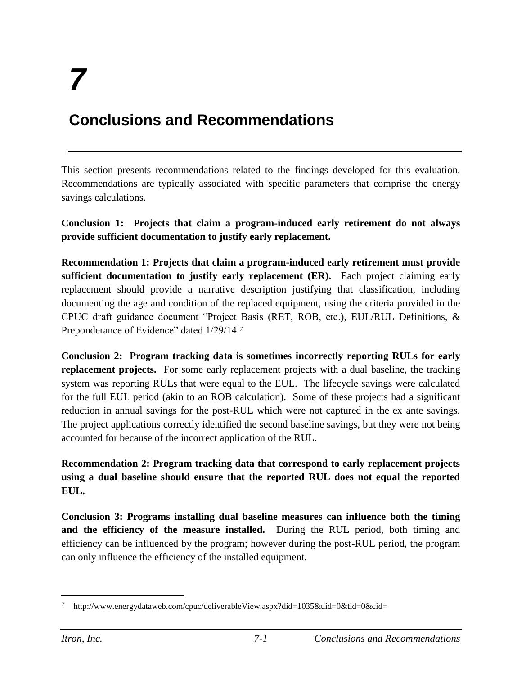# **Conclusions and Recommendations**

This section presents recommendations related to the findings developed for this evaluation. Recommendations are typically associated with specific parameters that comprise the energy savings calculations.

**Conclusion 1: Projects that claim a program-induced early retirement do not always provide sufficient documentation to justify early replacement.** 

**Recommendation 1: Projects that claim a program-induced early retirement must provide sufficient documentation to justify early replacement (ER).** Each project claiming early replacement should provide a narrative description justifying that classification, including documenting the age and condition of the replaced equipment, using the criteria provided in the CPUC draft guidance document "Project Basis (RET, ROB, etc.), EUL/RUL Definitions, & Preponderance of Evidence" dated  $1/29/14$ .<sup>7</sup>

**Conclusion 2: Program tracking data is sometimes incorrectly reporting RULs for early replacement projects.** For some early replacement projects with a dual baseline, the tracking system was reporting RULs that were equal to the EUL. The lifecycle savings were calculated for the full EUL period (akin to an ROB calculation). Some of these projects had a significant reduction in annual savings for the post-RUL which were not captured in the ex ante savings. The project applications correctly identified the second baseline savings, but they were not being accounted for because of the incorrect application of the RUL.

**Recommendation 2: Program tracking data that correspond to early replacement projects using a dual baseline should ensure that the reported RUL does not equal the reported EUL.**

**Conclusion 3: Programs installing dual baseline measures can influence both the timing and the efficiency of the measure installed.** During the RUL period, both timing and efficiency can be influenced by the program; however during the post-RUL period, the program can only influence the efficiency of the installed equipment.

 $\overline{a}$ 

<sup>7</sup> http://www.energydataweb.com/cpuc/deliverableView.aspx?did=1035&uid=0&tid=0&cid=